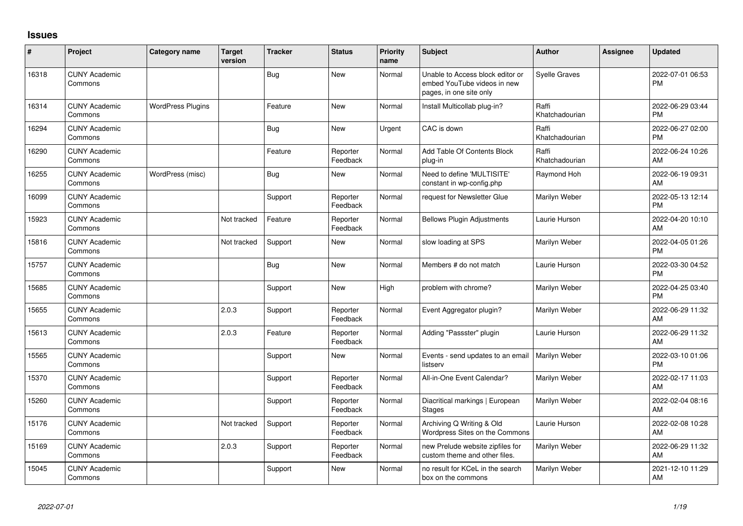## **Issues**

| #     | Project                         | Category name            | <b>Target</b><br>version | <b>Tracker</b> | <b>Status</b>        | <b>Priority</b><br>name | <b>Subject</b>                                                                             | Author                  | <b>Assignee</b> | <b>Updated</b>                |
|-------|---------------------------------|--------------------------|--------------------------|----------------|----------------------|-------------------------|--------------------------------------------------------------------------------------------|-------------------------|-----------------|-------------------------------|
| 16318 | <b>CUNY Academic</b><br>Commons |                          |                          | Bug            | <b>New</b>           | Normal                  | Unable to Access block editor or<br>embed YouTube videos in new<br>pages, in one site only | <b>Syelle Graves</b>    |                 | 2022-07-01 06:53<br><b>PM</b> |
| 16314 | <b>CUNY Academic</b><br>Commons | <b>WordPress Plugins</b> |                          | Feature        | <b>New</b>           | Normal                  | Install Multicollab plug-in?                                                               | Raffi<br>Khatchadourian |                 | 2022-06-29 03:44<br><b>PM</b> |
| 16294 | <b>CUNY Academic</b><br>Commons |                          |                          | Bug            | <b>New</b>           | Urgent                  | CAC is down                                                                                | Raffi<br>Khatchadourian |                 | 2022-06-27 02:00<br><b>PM</b> |
| 16290 | <b>CUNY Academic</b><br>Commons |                          |                          | Feature        | Reporter<br>Feedback | Normal                  | Add Table Of Contents Block<br>plug-in                                                     | Raffi<br>Khatchadourian |                 | 2022-06-24 10:26<br>AM        |
| 16255 | <b>CUNY Academic</b><br>Commons | WordPress (misc)         |                          | Bug            | <b>New</b>           | Normal                  | Need to define 'MULTISITE'<br>constant in wp-config.php                                    | Raymond Hoh             |                 | 2022-06-19 09:31<br>AM        |
| 16099 | <b>CUNY Academic</b><br>Commons |                          |                          | Support        | Reporter<br>Feedback | Normal                  | request for Newsletter Glue                                                                | Marilyn Weber           |                 | 2022-05-13 12:14<br><b>PM</b> |
| 15923 | <b>CUNY Academic</b><br>Commons |                          | Not tracked              | Feature        | Reporter<br>Feedback | Normal                  | <b>Bellows Plugin Adjustments</b>                                                          | Laurie Hurson           |                 | 2022-04-20 10:10<br>AM        |
| 15816 | <b>CUNY Academic</b><br>Commons |                          | Not tracked              | Support        | New                  | Normal                  | slow loading at SPS                                                                        | Marilyn Weber           |                 | 2022-04-05 01:26<br><b>PM</b> |
| 15757 | <b>CUNY Academic</b><br>Commons |                          |                          | Bug            | <b>New</b>           | Normal                  | Members # do not match                                                                     | Laurie Hurson           |                 | 2022-03-30 04:52<br><b>PM</b> |
| 15685 | <b>CUNY Academic</b><br>Commons |                          |                          | Support        | <b>New</b>           | High                    | problem with chrome?                                                                       | Marilyn Weber           |                 | 2022-04-25 03:40<br><b>PM</b> |
| 15655 | <b>CUNY Academic</b><br>Commons |                          | 2.0.3                    | Support        | Reporter<br>Feedback | Normal                  | Event Aggregator plugin?                                                                   | Marilyn Weber           |                 | 2022-06-29 11:32<br>AM        |
| 15613 | <b>CUNY Academic</b><br>Commons |                          | 2.0.3                    | Feature        | Reporter<br>Feedback | Normal                  | Adding "Passster" plugin                                                                   | Laurie Hurson           |                 | 2022-06-29 11:32<br>AM        |
| 15565 | <b>CUNY Academic</b><br>Commons |                          |                          | Support        | New                  | Normal                  | Events - send updates to an email<br>listserv                                              | Marilyn Weber           |                 | 2022-03-10 01:06<br><b>PM</b> |
| 15370 | <b>CUNY Academic</b><br>Commons |                          |                          | Support        | Reporter<br>Feedback | Normal                  | All-in-One Event Calendar?                                                                 | Marilyn Weber           |                 | 2022-02-17 11:03<br>AM        |
| 15260 | <b>CUNY Academic</b><br>Commons |                          |                          | Support        | Reporter<br>Feedback | Normal                  | Diacritical markings   European<br><b>Stages</b>                                           | Marilyn Weber           |                 | 2022-02-04 08:16<br>AM        |
| 15176 | <b>CUNY Academic</b><br>Commons |                          | Not tracked              | Support        | Reporter<br>Feedback | Normal                  | Archiving Q Writing & Old<br>Wordpress Sites on the Commons                                | Laurie Hurson           |                 | 2022-02-08 10:28<br>AM        |
| 15169 | <b>CUNY Academic</b><br>Commons |                          | 2.0.3                    | Support        | Reporter<br>Feedback | Normal                  | new Prelude website zipfiles for<br>custom theme and other files.                          | Marilyn Weber           |                 | 2022-06-29 11:32<br>AM        |
| 15045 | <b>CUNY Academic</b><br>Commons |                          |                          | Support        | <b>New</b>           | Normal                  | no result for KCeL in the search<br>box on the commons                                     | Marilyn Weber           |                 | 2021-12-10 11:29<br>AM        |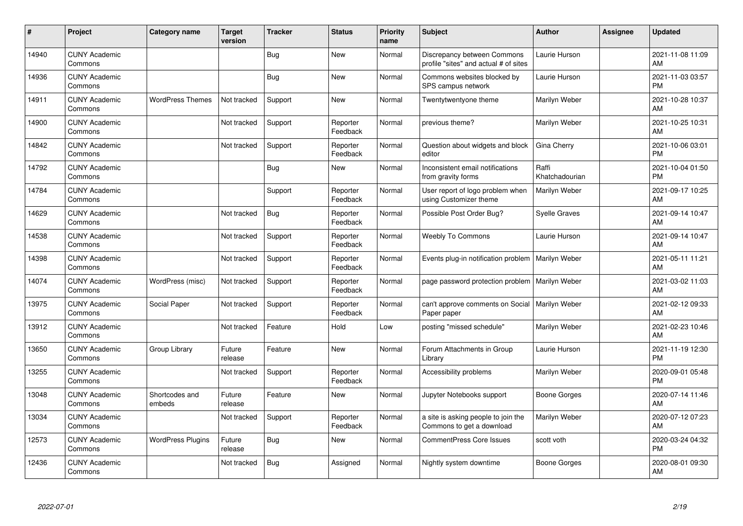| #     | Project                         | <b>Category name</b>     | <b>Target</b><br>version | <b>Tracker</b> | <b>Status</b>        | <b>Priority</b><br>name | <b>Subject</b>                                                       | <b>Author</b>           | <b>Assignee</b> | <b>Updated</b>                |
|-------|---------------------------------|--------------------------|--------------------------|----------------|----------------------|-------------------------|----------------------------------------------------------------------|-------------------------|-----------------|-------------------------------|
| 14940 | <b>CUNY Academic</b><br>Commons |                          |                          | Bug            | <b>New</b>           | Normal                  | Discrepancy between Commons<br>profile "sites" and actual # of sites | Laurie Hurson           |                 | 2021-11-08 11:09<br>AM        |
| 14936 | <b>CUNY Academic</b><br>Commons |                          |                          | Bug            | <b>New</b>           | Normal                  | Commons websites blocked by<br>SPS campus network                    | Laurie Hurson           |                 | 2021-11-03 03:57<br><b>PM</b> |
| 14911 | <b>CUNY Academic</b><br>Commons | <b>WordPress Themes</b>  | Not tracked              | Support        | New                  | Normal                  | Twentytwentyone theme                                                | Marilyn Weber           |                 | 2021-10-28 10:37<br>AM        |
| 14900 | <b>CUNY Academic</b><br>Commons |                          | Not tracked              | Support        | Reporter<br>Feedback | Normal                  | previous theme?                                                      | Marilyn Weber           |                 | 2021-10-25 10:31<br>AM        |
| 14842 | <b>CUNY Academic</b><br>Commons |                          | Not tracked              | Support        | Reporter<br>Feedback | Normal                  | Question about widgets and block<br>editor                           | Gina Cherry             |                 | 2021-10-06 03:01<br><b>PM</b> |
| 14792 | <b>CUNY Academic</b><br>Commons |                          |                          | <b>Bug</b>     | <b>New</b>           | Normal                  | Inconsistent email notifications<br>from gravity forms               | Raffi<br>Khatchadourian |                 | 2021-10-04 01:50<br><b>PM</b> |
| 14784 | <b>CUNY Academic</b><br>Commons |                          |                          | Support        | Reporter<br>Feedback | Normal                  | User report of logo problem when<br>using Customizer theme           | Marilyn Weber           |                 | 2021-09-17 10:25<br>AM        |
| 14629 | <b>CUNY Academic</b><br>Commons |                          | Not tracked              | Bug            | Reporter<br>Feedback | Normal                  | Possible Post Order Bug?                                             | <b>Syelle Graves</b>    |                 | 2021-09-14 10:47<br>AM        |
| 14538 | <b>CUNY Academic</b><br>Commons |                          | Not tracked              | Support        | Reporter<br>Feedback | Normal                  | <b>Weebly To Commons</b>                                             | Laurie Hurson           |                 | 2021-09-14 10:47<br>AM        |
| 14398 | <b>CUNY Academic</b><br>Commons |                          | Not tracked              | Support        | Reporter<br>Feedback | Normal                  | Events plug-in notification problem                                  | Marilyn Weber           |                 | 2021-05-11 11:21<br>AM        |
| 14074 | <b>CUNY Academic</b><br>Commons | WordPress (misc)         | Not tracked              | Support        | Reporter<br>Feedback | Normal                  | page password protection problem                                     | Marilyn Weber           |                 | 2021-03-02 11:03<br>AM        |
| 13975 | <b>CUNY Academic</b><br>Commons | Social Paper             | Not tracked              | Support        | Reporter<br>Feedback | Normal                  | can't approve comments on Social<br>Paper paper                      | Marilyn Weber           |                 | 2021-02-12 09:33<br>AM        |
| 13912 | <b>CUNY Academic</b><br>Commons |                          | Not tracked              | Feature        | Hold                 | Low                     | posting "missed schedule"                                            | Marilyn Weber           |                 | 2021-02-23 10:46<br>AM        |
| 13650 | <b>CUNY Academic</b><br>Commons | Group Library            | Future<br>release        | Feature        | New                  | Normal                  | Forum Attachments in Group<br>Library                                | Laurie Hurson           |                 | 2021-11-19 12:30<br><b>PM</b> |
| 13255 | <b>CUNY Academic</b><br>Commons |                          | Not tracked              | Support        | Reporter<br>Feedback | Normal                  | Accessibility problems                                               | Marilyn Weber           |                 | 2020-09-01 05:48<br><b>PM</b> |
| 13048 | <b>CUNY Academic</b><br>Commons | Shortcodes and<br>embeds | Future<br>release        | Feature        | New                  | Normal                  | Jupyter Notebooks support                                            | <b>Boone Gorges</b>     |                 | 2020-07-14 11:46<br>AM        |
| 13034 | <b>CUNY Academic</b><br>Commons |                          | Not tracked              | Support        | Reporter<br>Feedback | Normal                  | a site is asking people to join the<br>Commons to get a download     | Marilyn Weber           |                 | 2020-07-12 07:23<br><b>AM</b> |
| 12573 | <b>CUNY Academic</b><br>Commons | <b>WordPress Plugins</b> | Future<br>release        | Bug            | <b>New</b>           | Normal                  | CommentPress Core Issues                                             | scott voth              |                 | 2020-03-24 04:32<br><b>PM</b> |
| 12436 | <b>CUNY Academic</b><br>Commons |                          | Not tracked              | <b>Bug</b>     | Assigned             | Normal                  | Nightly system downtime                                              | Boone Gorges            |                 | 2020-08-01 09:30<br>AM        |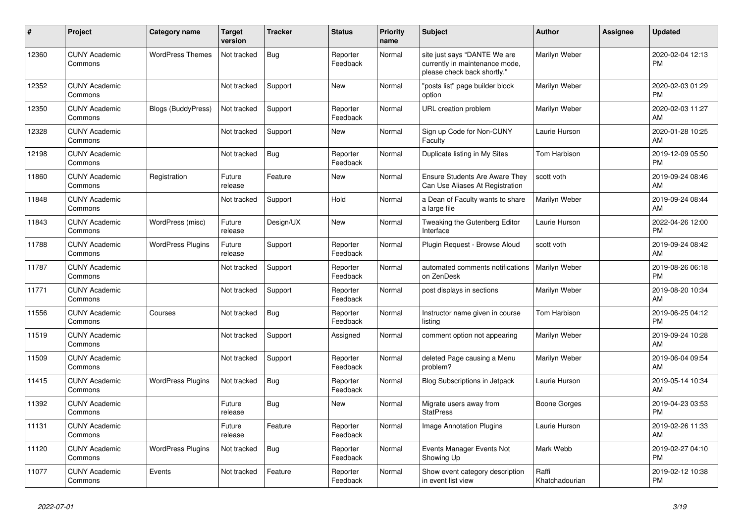| #     | Project                         | <b>Category name</b>      | <b>Target</b><br>version | <b>Tracker</b> | <b>Status</b>        | <b>Priority</b><br>name | <b>Subject</b>                                                                                | <b>Author</b>           | Assignee | <b>Updated</b>                |
|-------|---------------------------------|---------------------------|--------------------------|----------------|----------------------|-------------------------|-----------------------------------------------------------------------------------------------|-------------------------|----------|-------------------------------|
| 12360 | <b>CUNY Academic</b><br>Commons | <b>WordPress Themes</b>   | Not tracked              | Bug            | Reporter<br>Feedback | Normal                  | site just says "DANTE We are<br>currently in maintenance mode,<br>please check back shortly." | Marilyn Weber           |          | 2020-02-04 12:13<br><b>PM</b> |
| 12352 | <b>CUNY Academic</b><br>Commons |                           | Not tracked              | Support        | <b>New</b>           | Normal                  | "posts list" page builder block<br>option                                                     | Marilyn Weber           |          | 2020-02-03 01:29<br><b>PM</b> |
| 12350 | <b>CUNY Academic</b><br>Commons | <b>Blogs (BuddyPress)</b> | Not tracked              | Support        | Reporter<br>Feedback | Normal                  | URL creation problem                                                                          | Marilyn Weber           |          | 2020-02-03 11:27<br>AM        |
| 12328 | <b>CUNY Academic</b><br>Commons |                           | Not tracked              | Support        | New                  | Normal                  | Sign up Code for Non-CUNY<br>Faculty                                                          | Laurie Hurson           |          | 2020-01-28 10:25<br>AM        |
| 12198 | <b>CUNY Academic</b><br>Commons |                           | Not tracked              | <b>Bug</b>     | Reporter<br>Feedback | Normal                  | Duplicate listing in My Sites                                                                 | <b>Tom Harbison</b>     |          | 2019-12-09 05:50<br><b>PM</b> |
| 11860 | <b>CUNY Academic</b><br>Commons | Registration              | Future<br>release        | Feature        | <b>New</b>           | Normal                  | <b>Ensure Students Are Aware They</b><br>Can Use Aliases At Registration                      | scott voth              |          | 2019-09-24 08:46<br>AM        |
| 11848 | <b>CUNY Academic</b><br>Commons |                           | Not tracked              | Support        | Hold                 | Normal                  | a Dean of Faculty wants to share<br>a large file                                              | Marilyn Weber           |          | 2019-09-24 08:44<br>AM        |
| 11843 | <b>CUNY Academic</b><br>Commons | WordPress (misc)          | Future<br>release        | Design/UX      | <b>New</b>           | Normal                  | Tweaking the Gutenberg Editor<br>Interface                                                    | Laurie Hurson           |          | 2022-04-26 12:00<br><b>PM</b> |
| 11788 | <b>CUNY Academic</b><br>Commons | <b>WordPress Plugins</b>  | Future<br>release        | Support        | Reporter<br>Feedback | Normal                  | Plugin Request - Browse Aloud                                                                 | scott voth              |          | 2019-09-24 08:42<br>AM        |
| 11787 | <b>CUNY Academic</b><br>Commons |                           | Not tracked              | Support        | Reporter<br>Feedback | Normal                  | automated comments notifications<br>on ZenDesk                                                | Marilyn Weber           |          | 2019-08-26 06:18<br><b>PM</b> |
| 11771 | <b>CUNY Academic</b><br>Commons |                           | Not tracked              | Support        | Reporter<br>Feedback | Normal                  | post displays in sections                                                                     | Marilyn Weber           |          | 2019-08-20 10:34<br>AM        |
| 11556 | <b>CUNY Academic</b><br>Commons | Courses                   | Not tracked              | Bug            | Reporter<br>Feedback | Normal                  | Instructor name given in course<br>listing                                                    | Tom Harbison            |          | 2019-06-25 04:12<br><b>PM</b> |
| 11519 | <b>CUNY Academic</b><br>Commons |                           | Not tracked              | Support        | Assigned             | Normal                  | comment option not appearing                                                                  | Marilyn Weber           |          | 2019-09-24 10:28<br>AM        |
| 11509 | <b>CUNY Academic</b><br>Commons |                           | Not tracked              | Support        | Reporter<br>Feedback | Normal                  | deleted Page causing a Menu<br>problem?                                                       | Marilyn Weber           |          | 2019-06-04 09:54<br>AM        |
| 11415 | <b>CUNY Academic</b><br>Commons | <b>WordPress Plugins</b>  | Not tracked              | Bug            | Reporter<br>Feedback | Normal                  | Blog Subscriptions in Jetpack                                                                 | Laurie Hurson           |          | 2019-05-14 10:34<br>AM        |
| 11392 | <b>CUNY Academic</b><br>Commons |                           | Future<br>release        | <b>Bug</b>     | <b>New</b>           | Normal                  | Migrate users away from<br><b>StatPress</b>                                                   | Boone Gorges            |          | 2019-04-23 03:53<br><b>PM</b> |
| 11131 | <b>CUNY Academic</b><br>Commons |                           | Future<br>release        | Feature        | Reporter<br>Feedback | Normal                  | <b>Image Annotation Plugins</b>                                                               | Laurie Hurson           |          | 2019-02-26 11:33<br>AM        |
| 11120 | <b>CUNY Academic</b><br>Commons | <b>WordPress Plugins</b>  | Not tracked              | Bug            | Reporter<br>Feedback | Normal                  | Events Manager Events Not<br>Showing Up                                                       | Mark Webb               |          | 2019-02-27 04:10<br><b>PM</b> |
| 11077 | <b>CUNY Academic</b><br>Commons | Events                    | Not tracked              | Feature        | Reporter<br>Feedback | Normal                  | Show event category description<br>in event list view                                         | Raffi<br>Khatchadourian |          | 2019-02-12 10:38<br><b>PM</b> |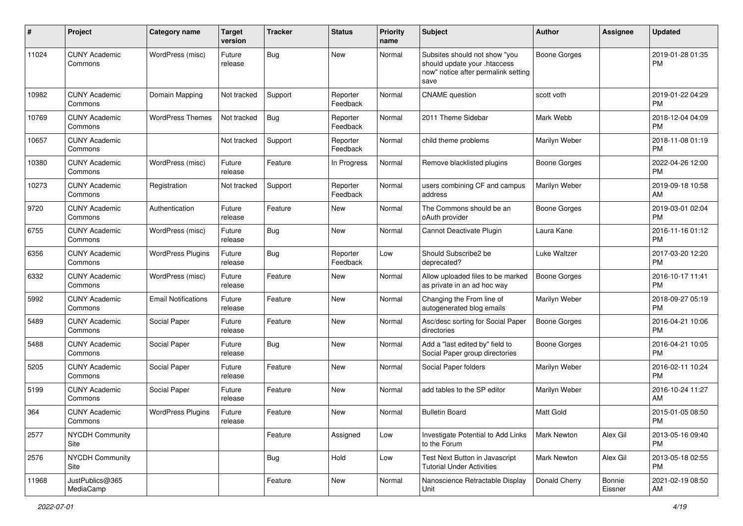| #     | Project                         | <b>Category name</b>       | <b>Target</b><br>version | <b>Tracker</b> | <b>Status</b>        | Priority<br>name | <b>Subject</b>                                                                                               | Author              | <b>Assignee</b>   | <b>Updated</b>                |
|-------|---------------------------------|----------------------------|--------------------------|----------------|----------------------|------------------|--------------------------------------------------------------------------------------------------------------|---------------------|-------------------|-------------------------------|
| 11024 | <b>CUNY Academic</b><br>Commons | WordPress (misc)           | Future<br>release        | <b>Bug</b>     | New                  | Normal           | Subsites should not show "you<br>should update your .htaccess<br>now" notice after permalink setting<br>save | <b>Boone Gorges</b> |                   | 2019-01-28 01:35<br>PM.       |
| 10982 | <b>CUNY Academic</b><br>Commons | Domain Mapping             | Not tracked              | Support        | Reporter<br>Feedback | Normal           | <b>CNAME</b> question                                                                                        | scott voth          |                   | 2019-01-22 04:29<br><b>PM</b> |
| 10769 | <b>CUNY Academic</b><br>Commons | <b>WordPress Themes</b>    | Not tracked              | Bug            | Reporter<br>Feedback | Normal           | 2011 Theme Sidebar                                                                                           | Mark Webb           |                   | 2018-12-04 04:09<br><b>PM</b> |
| 10657 | <b>CUNY Academic</b><br>Commons |                            | Not tracked              | Support        | Reporter<br>Feedback | Normal           | child theme problems                                                                                         | Marilyn Weber       |                   | 2018-11-08 01:19<br><b>PM</b> |
| 10380 | <b>CUNY Academic</b><br>Commons | WordPress (misc)           | Future<br>release        | Feature        | In Progress          | Normal           | Remove blacklisted plugins                                                                                   | <b>Boone Gorges</b> |                   | 2022-04-26 12:00<br><b>PM</b> |
| 10273 | <b>CUNY Academic</b><br>Commons | Registration               | Not tracked              | Support        | Reporter<br>Feedback | Normal           | users combining CF and campus<br>address                                                                     | Marilyn Weber       |                   | 2019-09-18 10:58<br>AM        |
| 9720  | <b>CUNY Academic</b><br>Commons | Authentication             | Future<br>release        | Feature        | New                  | Normal           | The Commons should be an<br>oAuth provider                                                                   | Boone Gorges        |                   | 2019-03-01 02:04<br><b>PM</b> |
| 6755  | <b>CUNY Academic</b><br>Commons | WordPress (misc)           | Future<br>release        | Bug            | New                  | Normal           | Cannot Deactivate Plugin                                                                                     | Laura Kane          |                   | 2016-11-16 01:12<br><b>PM</b> |
| 6356  | <b>CUNY Academic</b><br>Commons | <b>WordPress Plugins</b>   | Future<br>release        | Bug            | Reporter<br>Feedback | Low              | Should Subscribe2 be<br>deprecated?                                                                          | Luke Waltzer        |                   | 2017-03-20 12:20<br><b>PM</b> |
| 6332  | <b>CUNY Academic</b><br>Commons | WordPress (misc)           | Future<br>release        | Feature        | New                  | Normal           | Allow uploaded files to be marked<br>as private in an ad hoc way                                             | <b>Boone Gorges</b> |                   | 2016-10-17 11:41<br><b>PM</b> |
| 5992  | <b>CUNY Academic</b><br>Commons | <b>Email Notifications</b> | Future<br>release        | Feature        | New                  | Normal           | Changing the From line of<br>autogenerated blog emails                                                       | Marilyn Weber       |                   | 2018-09-27 05:19<br><b>PM</b> |
| 5489  | <b>CUNY Academic</b><br>Commons | Social Paper               | Future<br>release        | Feature        | New                  | Normal           | Asc/desc sorting for Social Paper<br>directories                                                             | <b>Boone Gorges</b> |                   | 2016-04-21 10:06<br><b>PM</b> |
| 5488  | <b>CUNY Academic</b><br>Commons | Social Paper               | Future<br>release        | Bug            | <b>New</b>           | Normal           | Add a "last edited by" field to<br>Social Paper group directories                                            | Boone Gorges        |                   | 2016-04-21 10:05<br><b>PM</b> |
| 5205  | <b>CUNY Academic</b><br>Commons | Social Paper               | Future<br>release        | Feature        | <b>New</b>           | Normal           | Social Paper folders                                                                                         | Marilyn Weber       |                   | 2016-02-11 10:24<br><b>PM</b> |
| 5199  | <b>CUNY Academic</b><br>Commons | Social Paper               | Future<br>release        | Feature        | New                  | Normal           | add tables to the SP editor                                                                                  | Marilyn Weber       |                   | 2016-10-24 11:27<br>AM        |
| 364   | <b>CUNY Academic</b><br>Commons | <b>WordPress Plugins</b>   | Future<br>release        | Feature        | New                  | Normal           | <b>Bulletin Board</b>                                                                                        | Matt Gold           |                   | 2015-01-05 08:50<br>PM        |
| 2577  | <b>NYCDH Community</b><br>Site  |                            |                          | Feature        | Assigned             | Low              | Investigate Potential to Add Links<br>to the Forum                                                           | <b>Mark Newton</b>  | Alex Gil          | 2013-05-16 09:40<br><b>PM</b> |
| 2576  | NYCDH Community<br>Site         |                            |                          | <b>Bug</b>     | Hold                 | Low              | Test Next Button in Javascript<br><b>Tutorial Under Activities</b>                                           | Mark Newton         | Alex Gil          | 2013-05-18 02:55<br><b>PM</b> |
| 11968 | JustPublics@365<br>MediaCamp    |                            |                          | Feature        | New                  | Normal           | Nanoscience Retractable Display<br>Unit                                                                      | Donald Cherry       | Bonnie<br>Eissner | 2021-02-19 08:50<br>AM        |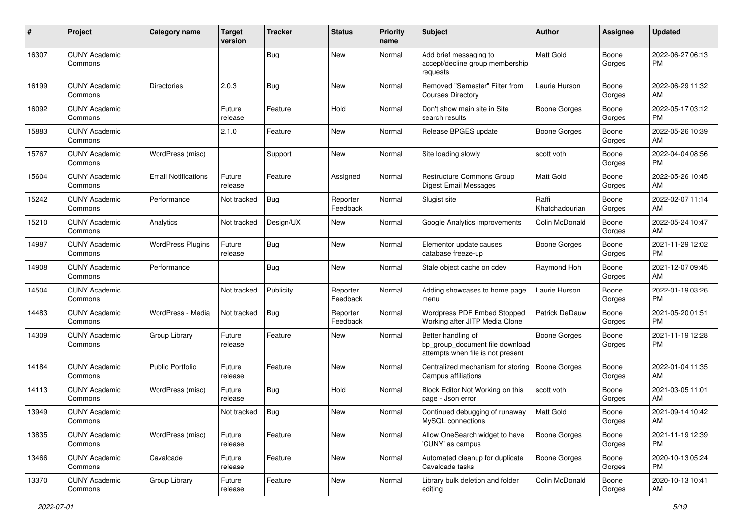| #     | Project                         | <b>Category name</b>       | Target<br>version | <b>Tracker</b> | <b>Status</b>        | <b>Priority</b><br>name | <b>Subject</b>                                                                             | <b>Author</b>           | <b>Assignee</b> | <b>Updated</b>                |
|-------|---------------------------------|----------------------------|-------------------|----------------|----------------------|-------------------------|--------------------------------------------------------------------------------------------|-------------------------|-----------------|-------------------------------|
| 16307 | <b>CUNY Academic</b><br>Commons |                            |                   | Bug            | New                  | Normal                  | Add brief messaging to<br>accept/decline group membership<br>requests                      | Matt Gold               | Boone<br>Gorges | 2022-06-27 06:13<br>PM.       |
| 16199 | <b>CUNY Academic</b><br>Commons | Directories                | 2.0.3             | Bug            | <b>New</b>           | Normal                  | Removed "Semester" Filter from<br><b>Courses Directory</b>                                 | Laurie Hurson           | Boone<br>Gorges | 2022-06-29 11:32<br>AM        |
| 16092 | <b>CUNY Academic</b><br>Commons |                            | Future<br>release | Feature        | Hold                 | Normal                  | Don't show main site in Site<br>search results                                             | <b>Boone Gorges</b>     | Boone<br>Gorges | 2022-05-17 03:12<br><b>PM</b> |
| 15883 | <b>CUNY Academic</b><br>Commons |                            | 2.1.0             | Feature        | <b>New</b>           | Normal                  | Release BPGES update                                                                       | <b>Boone Gorges</b>     | Boone<br>Gorges | 2022-05-26 10:39<br>AM        |
| 15767 | <b>CUNY Academic</b><br>Commons | WordPress (misc)           |                   | Support        | New                  | Normal                  | Site loading slowly                                                                        | scott voth              | Boone<br>Gorges | 2022-04-04 08:56<br>PM.       |
| 15604 | <b>CUNY Academic</b><br>Commons | <b>Email Notifications</b> | Future<br>release | Feature        | Assigned             | Normal                  | Restructure Commons Group<br>Digest Email Messages                                         | <b>Matt Gold</b>        | Boone<br>Gorges | 2022-05-26 10:45<br>AM        |
| 15242 | <b>CUNY Academic</b><br>Commons | Performance                | Not tracked       | Bug            | Reporter<br>Feedback | Normal                  | Slugist site                                                                               | Raffi<br>Khatchadourian | Boone<br>Gorges | 2022-02-07 11:14<br>AM        |
| 15210 | <b>CUNY Academic</b><br>Commons | Analytics                  | Not tracked       | Design/UX      | New                  | Normal                  | Google Analytics improvements                                                              | Colin McDonald          | Boone<br>Gorges | 2022-05-24 10:47<br>AM        |
| 14987 | <b>CUNY Academic</b><br>Commons | <b>WordPress Plugins</b>   | Future<br>release | Bug            | New                  | Normal                  | Elementor update causes<br>database freeze-up                                              | Boone Gorges            | Boone<br>Gorges | 2021-11-29 12:02<br>PM.       |
| 14908 | <b>CUNY Academic</b><br>Commons | Performance                |                   | Bug            | New                  | Normal                  | Stale object cache on cdev                                                                 | Raymond Hoh             | Boone<br>Gorges | 2021-12-07 09:45<br>AM        |
| 14504 | <b>CUNY Academic</b><br>Commons |                            | Not tracked       | Publicity      | Reporter<br>Feedback | Normal                  | Adding showcases to home page<br>menu                                                      | Laurie Hurson           | Boone<br>Gorges | 2022-01-19 03:26<br><b>PM</b> |
| 14483 | <b>CUNY Academic</b><br>Commons | WordPress - Media          | Not tracked       | Bug            | Reporter<br>Feedback | Normal                  | Wordpress PDF Embed Stopped<br>Working after JITP Media Clone                              | Patrick DeDauw          | Boone<br>Gorges | 2021-05-20 01:51<br><b>PM</b> |
| 14309 | <b>CUNY Academic</b><br>Commons | Group Library              | Future<br>release | Feature        | New                  | Normal                  | Better handling of<br>bp_group_document file download<br>attempts when file is not present | Boone Gorges            | Boone<br>Gorges | 2021-11-19 12:28<br><b>PM</b> |
| 14184 | <b>CUNY Academic</b><br>Commons | Public Portfolio           | Future<br>release | Feature        | <b>New</b>           | Normal                  | Centralized mechanism for storing<br>Campus affiliations                                   | Boone Gorges            | Boone<br>Gorges | 2022-01-04 11:35<br>AM        |
| 14113 | <b>CUNY Academic</b><br>Commons | WordPress (misc)           | Future<br>release | Bug            | Hold                 | Normal                  | Block Editor Not Working on this<br>page - Json error                                      | scott voth              | Boone<br>Gorges | 2021-03-05 11:01<br>AM        |
| 13949 | <b>CUNY Academic</b><br>Commons |                            | Not tracked       | <b>Bug</b>     | New                  | Normal                  | Continued debugging of runaway<br>MySQL connections                                        | Matt Gold               | Boone<br>Gorges | 2021-09-14 10:42<br>AM        |
| 13835 | <b>CUNY Academic</b><br>Commons | WordPress (misc)           | Future<br>release | Feature        | New                  | Normal                  | Allow OneSearch widget to have<br>'CUNY' as campus                                         | Boone Gorges            | Boone<br>Gorges | 2021-11-19 12:39<br>PM        |
| 13466 | <b>CUNY Academic</b><br>Commons | Cavalcade                  | Future<br>release | Feature        | New                  | Normal                  | Automated cleanup for duplicate<br>Cavalcade tasks                                         | Boone Gorges            | Boone<br>Gorges | 2020-10-13 05:24<br><b>PM</b> |
| 13370 | <b>CUNY Academic</b><br>Commons | Group Library              | Future<br>release | Feature        | New                  | Normal                  | Library bulk deletion and folder<br>editing                                                | Colin McDonald          | Boone<br>Gorges | 2020-10-13 10:41<br>AM        |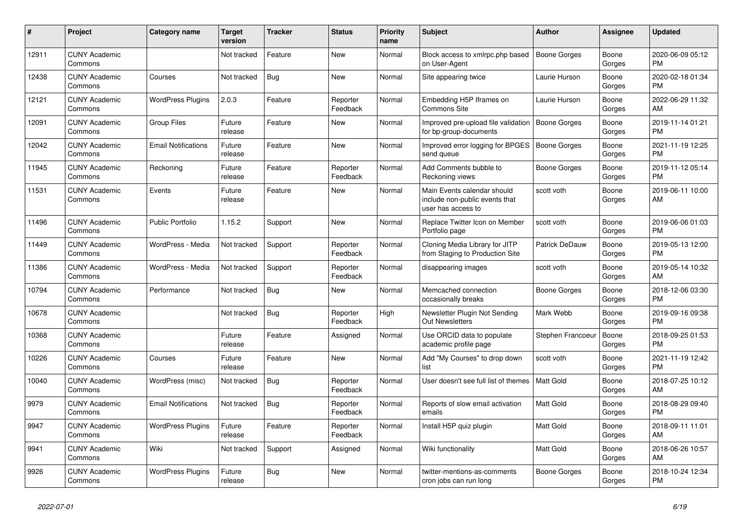| #     | Project                         | <b>Category name</b>       | <b>Target</b><br>version | <b>Tracker</b> | <b>Status</b>        | <b>Priority</b><br>name | <b>Subject</b>                                                                      | <b>Author</b>       | <b>Assignee</b> | <b>Updated</b>                |
|-------|---------------------------------|----------------------------|--------------------------|----------------|----------------------|-------------------------|-------------------------------------------------------------------------------------|---------------------|-----------------|-------------------------------|
| 12911 | <b>CUNY Academic</b><br>Commons |                            | Not tracked              | Feature        | New                  | Normal                  | Block access to xmlrpc.php based<br>on User-Agent                                   | Boone Gorges        | Boone<br>Gorges | 2020-06-09 05:12<br><b>PM</b> |
| 12438 | <b>CUNY Academic</b><br>Commons | Courses                    | Not tracked              | <b>Bug</b>     | New                  | Normal                  | Site appearing twice                                                                | Laurie Hurson       | Boone<br>Gorges | 2020-02-18 01:34<br><b>PM</b> |
| 12121 | <b>CUNY Academic</b><br>Commons | <b>WordPress Plugins</b>   | 2.0.3                    | Feature        | Reporter<br>Feedback | Normal                  | Embedding H5P Iframes on<br><b>Commons Site</b>                                     | Laurie Hurson       | Boone<br>Gorges | 2022-06-29 11:32<br>AM        |
| 12091 | <b>CUNY Academic</b><br>Commons | <b>Group Files</b>         | Future<br>release        | Feature        | <b>New</b>           | Normal                  | Improved pre-upload file validation<br>for bp-group-documents                       | Boone Gorges        | Boone<br>Gorges | 2019-11-14 01:21<br><b>PM</b> |
| 12042 | <b>CUNY Academic</b><br>Commons | <b>Email Notifications</b> | Future<br>release        | Feature        | New                  | Normal                  | Improved error logging for BPGES<br>send queue                                      | <b>Boone Gorges</b> | Boone<br>Gorges | 2021-11-19 12:25<br><b>PM</b> |
| 11945 | <b>CUNY Academic</b><br>Commons | Reckoning                  | Future<br>release        | Feature        | Reporter<br>Feedback | Normal                  | Add Comments bubble to<br>Reckoning views                                           | Boone Gorges        | Boone<br>Gorges | 2019-11-12 05:14<br><b>PM</b> |
| 11531 | <b>CUNY Academic</b><br>Commons | Events                     | Future<br>release        | Feature        | <b>New</b>           | Normal                  | Main Events calendar should<br>include non-public events that<br>user has access to | scott voth          | Boone<br>Gorges | 2019-06-11 10:00<br>AM        |
| 11496 | <b>CUNY Academic</b><br>Commons | <b>Public Portfolio</b>    | 1.15.2                   | Support        | <b>New</b>           | Normal                  | Replace Twitter Icon on Member<br>Portfolio page                                    | scott voth          | Boone<br>Gorges | 2019-06-06 01:03<br><b>PM</b> |
| 11449 | <b>CUNY Academic</b><br>Commons | WordPress - Media          | Not tracked              | Support        | Reporter<br>Feedback | Normal                  | Cloning Media Library for JITP<br>from Staging to Production Site                   | Patrick DeDauw      | Boone<br>Gorges | 2019-05-13 12:00<br><b>PM</b> |
| 11386 | <b>CUNY Academic</b><br>Commons | WordPress - Media          | Not tracked              | Support        | Reporter<br>Feedback | Normal                  | disappearing images                                                                 | scott voth          | Boone<br>Gorges | 2019-05-14 10:32<br>AM        |
| 10794 | <b>CUNY Academic</b><br>Commons | Performance                | Not tracked              | <b>Bug</b>     | New                  | Normal                  | Memcached connection<br>occasionally breaks                                         | Boone Gorges        | Boone<br>Gorges | 2018-12-06 03:30<br><b>PM</b> |
| 10678 | <b>CUNY Academic</b><br>Commons |                            | Not tracked              | Bug            | Reporter<br>Feedback | High                    | Newsletter Plugin Not Sending<br><b>Out Newsletters</b>                             | Mark Webb           | Boone<br>Gorges | 2019-09-16 09:38<br><b>PM</b> |
| 10368 | <b>CUNY Academic</b><br>Commons |                            | Future<br>release        | Feature        | Assigned             | Normal                  | Use ORCID data to populate<br>academic profile page                                 | Stephen Francoeur   | Boone<br>Gorges | 2018-09-25 01:53<br><b>PM</b> |
| 10226 | <b>CUNY Academic</b><br>Commons | Courses                    | Future<br>release        | Feature        | New                  | Normal                  | Add "My Courses" to drop down<br>list                                               | scott voth          | Boone<br>Gorges | 2021-11-19 12:42<br><b>PM</b> |
| 10040 | <b>CUNY Academic</b><br>Commons | WordPress (misc)           | Not tracked              | Bug            | Reporter<br>Feedback | Normal                  | User doesn't see full list of themes                                                | <b>Matt Gold</b>    | Boone<br>Gorges | 2018-07-25 10:12<br>AM        |
| 9979  | <b>CUNY Academic</b><br>Commons | <b>Email Notifications</b> | Not tracked              | <b>Bug</b>     | Reporter<br>Feedback | Normal                  | Reports of slow email activation<br>emails                                          | <b>Matt Gold</b>    | Boone<br>Gorges | 2018-08-29 09:40<br><b>PM</b> |
| 9947  | <b>CUNY Academic</b><br>Commons | <b>WordPress Plugins</b>   | Future<br>release        | Feature        | Reporter<br>Feedback | Normal                  | Install H5P quiz plugin                                                             | Matt Gold           | Boone<br>Gorges | 2018-09-11 11:01<br>AM        |
| 9941  | <b>CUNY Academic</b><br>Commons | Wiki                       | Not tracked              | Support        | Assigned             | Normal                  | Wiki functionality                                                                  | <b>Matt Gold</b>    | Boone<br>Gorges | 2018-06-26 10:57<br>AM        |
| 9926  | <b>CUNY Academic</b><br>Commons | <b>WordPress Plugins</b>   | Future<br>release        | <b>Bug</b>     | <b>New</b>           | Normal                  | twitter-mentions-as-comments<br>cron jobs can run long                              | Boone Gorges        | Boone<br>Gorges | 2018-10-24 12:34<br><b>PM</b> |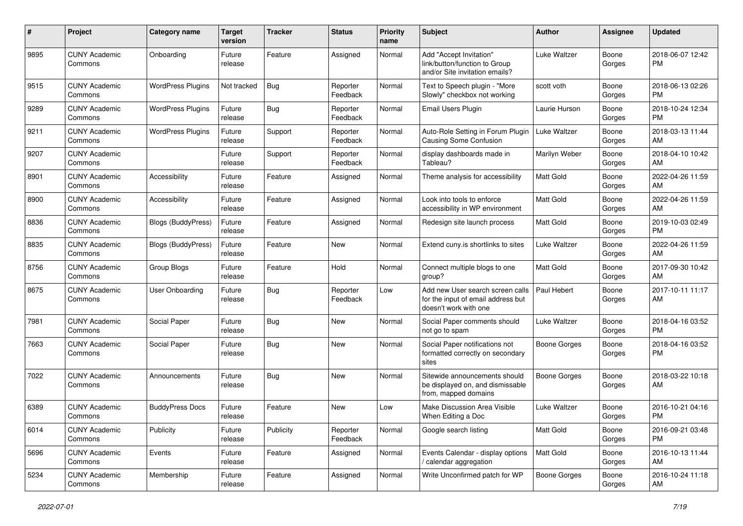| #    | Project                         | <b>Category name</b>      | <b>Target</b><br>version | Tracker    | <b>Status</b>        | Priority<br>name | <b>Subject</b>                                                                                  | <b>Author</b>       | <b>Assignee</b> | <b>Updated</b>                |
|------|---------------------------------|---------------------------|--------------------------|------------|----------------------|------------------|-------------------------------------------------------------------------------------------------|---------------------|-----------------|-------------------------------|
| 9895 | <b>CUNY Academic</b><br>Commons | Onboarding                | Future<br>release        | Feature    | Assigned             | Normal           | Add "Accept Invitation"<br>link/button/function to Group<br>and/or Site invitation emails?      | Luke Waltzer        | Boone<br>Gorges | 2018-06-07 12:42<br>PM        |
| 9515 | <b>CUNY Academic</b><br>Commons | <b>WordPress Plugins</b>  | Not tracked              | <b>Bug</b> | Reporter<br>Feedback | Normal           | Text to Speech plugin - "More<br>Slowly" checkbox not working                                   | scott voth          | Boone<br>Gorges | 2018-06-13 02:26<br><b>PM</b> |
| 9289 | <b>CUNY Academic</b><br>Commons | <b>WordPress Plugins</b>  | Future<br>release        | <b>Bug</b> | Reporter<br>Feedback | Normal           | <b>Email Users Plugin</b>                                                                       | Laurie Hurson       | Boone<br>Gorges | 2018-10-24 12:34<br><b>PM</b> |
| 9211 | <b>CUNY Academic</b><br>Commons | <b>WordPress Plugins</b>  | Future<br>release        | Support    | Reporter<br>Feedback | Normal           | Auto-Role Setting in Forum Plugin<br><b>Causing Some Confusion</b>                              | Luke Waltzer        | Boone<br>Gorges | 2018-03-13 11:44<br>AM        |
| 9207 | <b>CUNY Academic</b><br>Commons |                           | Future<br>release        | Support    | Reporter<br>Feedback | Normal           | display dashboards made in<br>Tableau?                                                          | Marilyn Weber       | Boone<br>Gorges | 2018-04-10 10:42<br>AM        |
| 8901 | <b>CUNY Academic</b><br>Commons | Accessibility             | Future<br>release        | Feature    | Assigned             | Normal           | Theme analysis for accessibility                                                                | Matt Gold           | Boone<br>Gorges | 2022-04-26 11:59<br>AM        |
| 8900 | <b>CUNY Academic</b><br>Commons | Accessibility             | Future<br>release        | Feature    | Assigned             | Normal           | Look into tools to enforce<br>accessibility in WP environment                                   | Matt Gold           | Boone<br>Gorges | 2022-04-26 11:59<br>AM        |
| 8836 | <b>CUNY Academic</b><br>Commons | Blogs (BuddyPress)        | Future<br>release        | Feature    | Assigned             | Normal           | Redesign site launch process                                                                    | Matt Gold           | Boone<br>Gorges | 2019-10-03 02:49<br><b>PM</b> |
| 8835 | <b>CUNY Academic</b><br>Commons | <b>Blogs (BuddyPress)</b> | Future<br>release        | Feature    | <b>New</b>           | Normal           | Extend cuny is shortlinks to sites                                                              | Luke Waltzer        | Boone<br>Gorges | 2022-04-26 11:59<br>AM        |
| 8756 | <b>CUNY Academic</b><br>Commons | Group Blogs               | Future<br>release        | Feature    | Hold                 | Normal           | Connect multiple blogs to one<br>group?                                                         | <b>Matt Gold</b>    | Boone<br>Gorges | 2017-09-30 10:42<br>AM        |
| 8675 | <b>CUNY Academic</b><br>Commons | User Onboarding           | Future<br>release        | Bug        | Reporter<br>Feedback | Low              | Add new User search screen calls<br>for the input of email address but<br>doesn't work with one | Paul Hebert         | Boone<br>Gorges | 2017-10-11 11:17<br>AM        |
| 7981 | <b>CUNY Academic</b><br>Commons | Social Paper              | Future<br>release        | Bug        | New                  | Normal           | Social Paper comments should<br>not go to spam                                                  | Luke Waltzer        | Boone<br>Gorges | 2018-04-16 03:52<br><b>PM</b> |
| 7663 | <b>CUNY Academic</b><br>Commons | Social Paper              | Future<br>release        | Bug        | <b>New</b>           | Normal           | Social Paper notifications not<br>formatted correctly on secondary<br>sites                     | <b>Boone Gorges</b> | Boone<br>Gorges | 2018-04-16 03:52<br><b>PM</b> |
| 7022 | <b>CUNY Academic</b><br>Commons | Announcements             | Future<br>release        | <b>Bug</b> | <b>New</b>           | Normal           | Sitewide announcements should<br>be displayed on, and dismissable<br>from, mapped domains       | Boone Gorges        | Boone<br>Gorges | 2018-03-22 10:18<br>AM        |
| 6389 | <b>CUNY Academic</b><br>Commons | <b>BuddyPress Docs</b>    | Future<br>release        | Feature    | <b>New</b>           | Low              | Make Discussion Area Visible<br>When Editing a Doc                                              | Luke Waltzer        | Boone<br>Gorges | 2016-10-21 04:16<br><b>PM</b> |
| 6014 | <b>CUNY Academic</b><br>Commons | Publicity                 | Future<br>release        | Publicity  | Reporter<br>Feedback | Normal           | Google search listing                                                                           | Matt Gold           | Boone<br>Gorges | 2016-09-21 03:48<br><b>PM</b> |
| 5696 | <b>CUNY Academic</b><br>Commons | Events                    | Future<br>release        | Feature    | Assigned             | Normal           | Events Calendar - display options<br>/ calendar aggregation                                     | Matt Gold           | Boone<br>Gorges | 2016-10-13 11:44<br>AM        |
| 5234 | <b>CUNY Academic</b><br>Commons | Membership                | Future<br>release        | Feature    | Assigned             | Normal           | Write Unconfirmed patch for WP                                                                  | <b>Boone Gorges</b> | Boone<br>Gorges | 2016-10-24 11:18<br>AM        |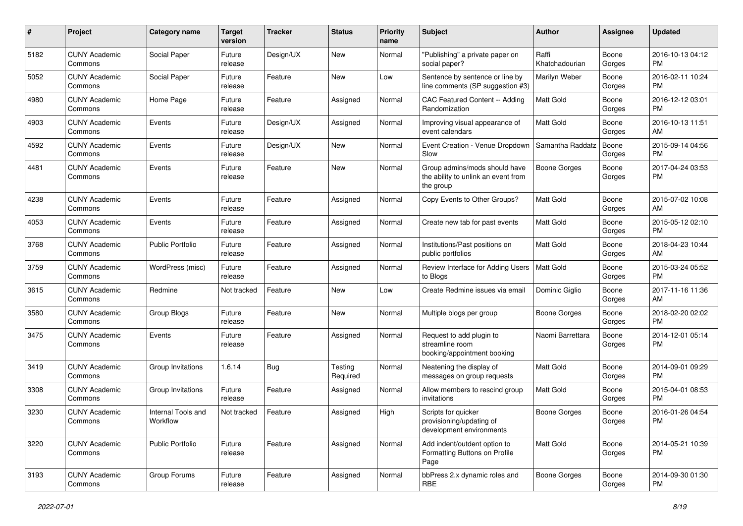| #    | Project                         | <b>Category name</b>           | <b>Target</b><br>version | <b>Tracker</b> | <b>Status</b>       | <b>Priority</b><br>name | <b>Subject</b>                                                                    | Author                  | Assignee        | <b>Updated</b>                |
|------|---------------------------------|--------------------------------|--------------------------|----------------|---------------------|-------------------------|-----------------------------------------------------------------------------------|-------------------------|-----------------|-------------------------------|
| 5182 | <b>CUNY Academic</b><br>Commons | Social Paper                   | Future<br>release        | Design/UX      | New                 | Normal                  | "Publishing" a private paper on<br>social paper?                                  | Raffi<br>Khatchadourian | Boone<br>Gorges | 2016-10-13 04:12<br>PM.       |
| 5052 | <b>CUNY Academic</b><br>Commons | Social Paper                   | Future<br>release        | Feature        | New                 | Low                     | Sentence by sentence or line by<br>line comments (SP suggestion #3)               | Marilyn Weber           | Boone<br>Gorges | 2016-02-11 10:24<br><b>PM</b> |
| 4980 | <b>CUNY Academic</b><br>Commons | Home Page                      | Future<br>release        | Feature        | Assigned            | Normal                  | CAC Featured Content -- Adding<br>Randomization                                   | Matt Gold               | Boone<br>Gorges | 2016-12-12 03:01<br><b>PM</b> |
| 4903 | <b>CUNY Academic</b><br>Commons | Events                         | Future<br>release        | Design/UX      | Assigned            | Normal                  | Improving visual appearance of<br>event calendars                                 | <b>Matt Gold</b>        | Boone<br>Gorges | 2016-10-13 11:51<br>AM        |
| 4592 | <b>CUNY Academic</b><br>Commons | Events                         | Future<br>release        | Design/UX      | New                 | Normal                  | Event Creation - Venue Dropdown<br>Slow                                           | Samantha Raddatz        | Boone<br>Gorges | 2015-09-14 04:56<br><b>PM</b> |
| 4481 | <b>CUNY Academic</b><br>Commons | Events                         | Future<br>release        | Feature        | New                 | Normal                  | Group admins/mods should have<br>the ability to unlink an event from<br>the group | Boone Gorges            | Boone<br>Gorges | 2017-04-24 03:53<br>PM        |
| 4238 | <b>CUNY Academic</b><br>Commons | Events                         | Future<br>release        | Feature        | Assigned            | Normal                  | Copy Events to Other Groups?                                                      | <b>Matt Gold</b>        | Boone<br>Gorges | 2015-07-02 10:08<br>AM        |
| 4053 | <b>CUNY Academic</b><br>Commons | Events                         | Future<br>release        | Feature        | Assigned            | Normal                  | Create new tab for past events                                                    | Matt Gold               | Boone<br>Gorges | 2015-05-12 02:10<br><b>PM</b> |
| 3768 | <b>CUNY Academic</b><br>Commons | <b>Public Portfolio</b>        | Future<br>release        | Feature        | Assigned            | Normal                  | Institutions/Past positions on<br>public portfolios                               | <b>Matt Gold</b>        | Boone<br>Gorges | 2018-04-23 10:44<br>AM        |
| 3759 | <b>CUNY Academic</b><br>Commons | WordPress (misc)               | Future<br>release        | Feature        | Assigned            | Normal                  | Review Interface for Adding Users<br>to Blogs                                     | Matt Gold               | Boone<br>Gorges | 2015-03-24 05:52<br><b>PM</b> |
| 3615 | <b>CUNY Academic</b><br>Commons | Redmine                        | Not tracked              | Feature        | New                 | Low                     | Create Redmine issues via email                                                   | Dominic Giglio          | Boone<br>Gorges | 2017-11-16 11:36<br>AM        |
| 3580 | <b>CUNY Academic</b><br>Commons | Group Blogs                    | Future<br>release        | Feature        | New                 | Normal                  | Multiple blogs per group                                                          | Boone Gorges            | Boone<br>Gorges | 2018-02-20 02:02<br><b>PM</b> |
| 3475 | <b>CUNY Academic</b><br>Commons | Events                         | Future<br>release        | Feature        | Assigned            | Normal                  | Request to add plugin to<br>streamline room<br>booking/appointment booking        | Naomi Barrettara        | Boone<br>Gorges | 2014-12-01 05:14<br><b>PM</b> |
| 3419 | <b>CUNY Academic</b><br>Commons | Group Invitations              | 1.6.14                   | Bug            | Testing<br>Required | Normal                  | Neatening the display of<br>messages on group requests                            | Matt Gold               | Boone<br>Gorges | 2014-09-01 09:29<br><b>PM</b> |
| 3308 | <b>CUNY Academic</b><br>Commons | Group Invitations              | Future<br>release        | Feature        | Assigned            | Normal                  | Allow members to rescind group<br>invitations                                     | <b>Matt Gold</b>        | Boone<br>Gorges | 2015-04-01 08:53<br><b>PM</b> |
| 3230 | <b>CUNY Academic</b><br>Commons | Internal Tools and<br>Workflow | Not tracked              | Feature        | Assigned            | High                    | Scripts for quicker<br>provisioning/updating of<br>development environments       | <b>Boone Gorges</b>     | Boone<br>Gorges | 2016-01-26 04:54<br>PM        |
| 3220 | <b>CUNY Academic</b><br>Commons | Public Portfolio               | Future<br>release        | Feature        | Assigned            | Normal                  | Add indent/outdent option to<br>Formatting Buttons on Profile<br>Page             | Matt Gold               | Boone<br>Gorges | 2014-05-21 10:39<br><b>PM</b> |
| 3193 | <b>CUNY Academic</b><br>Commons | Group Forums                   | Future<br>release        | Feature        | Assigned            | Normal                  | bbPress 2.x dynamic roles and<br><b>RBE</b>                                       | Boone Gorges            | Boone<br>Gorges | 2014-09-30 01:30<br><b>PM</b> |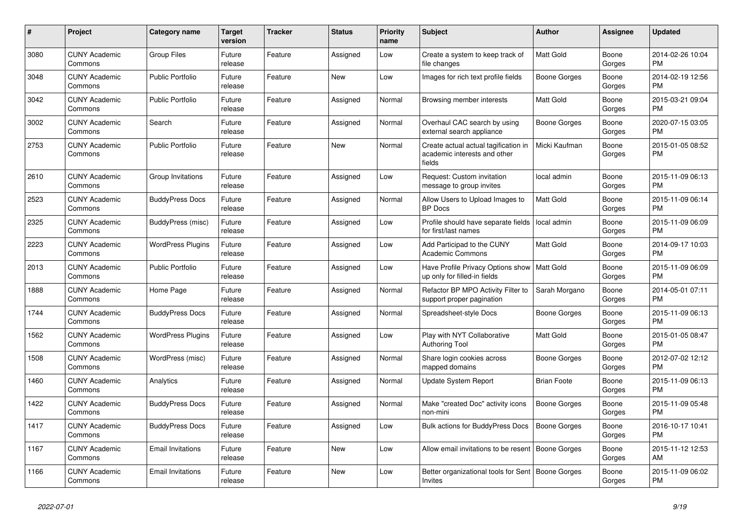| #    | <b>Project</b>                  | Category name            | Target<br>version | <b>Tracker</b> | <b>Status</b> | <b>Priority</b><br>name | <b>Subject</b>                                                                 | <b>Author</b>       | Assignee        | <b>Updated</b>                |
|------|---------------------------------|--------------------------|-------------------|----------------|---------------|-------------------------|--------------------------------------------------------------------------------|---------------------|-----------------|-------------------------------|
| 3080 | <b>CUNY Academic</b><br>Commons | <b>Group Files</b>       | Future<br>release | Feature        | Assigned      | Low                     | Create a system to keep track of<br>file changes                               | Matt Gold           | Boone<br>Gorges | 2014-02-26 10:04<br><b>PM</b> |
| 3048 | <b>CUNY Academic</b><br>Commons | <b>Public Portfolio</b>  | Future<br>release | Feature        | New           | Low                     | Images for rich text profile fields                                            | Boone Gorges        | Boone<br>Gorges | 2014-02-19 12:56<br>PM.       |
| 3042 | <b>CUNY Academic</b><br>Commons | <b>Public Portfolio</b>  | Future<br>release | Feature        | Assigned      | Normal                  | Browsing member interests                                                      | Matt Gold           | Boone<br>Gorges | 2015-03-21 09:04<br><b>PM</b> |
| 3002 | <b>CUNY Academic</b><br>Commons | Search                   | Future<br>release | Feature        | Assigned      | Normal                  | Overhaul CAC search by using<br>external search appliance                      | Boone Gorges        | Boone<br>Gorges | 2020-07-15 03:05<br><b>PM</b> |
| 2753 | <b>CUNY Academic</b><br>Commons | <b>Public Portfolio</b>  | Future<br>release | Feature        | New           | Normal                  | Create actual actual tagification in<br>academic interests and other<br>fields | Micki Kaufman       | Boone<br>Gorges | 2015-01-05 08:52<br>PM        |
| 2610 | <b>CUNY Academic</b><br>Commons | Group Invitations        | Future<br>release | Feature        | Assigned      | Low                     | Request: Custom invitation<br>message to group invites                         | local admin         | Boone<br>Gorges | 2015-11-09 06:13<br><b>PM</b> |
| 2523 | <b>CUNY Academic</b><br>Commons | <b>BuddyPress Docs</b>   | Future<br>release | Feature        | Assigned      | Normal                  | Allow Users to Upload Images to<br><b>BP</b> Docs                              | Matt Gold           | Boone<br>Gorges | 2015-11-09 06:14<br><b>PM</b> |
| 2325 | <b>CUNY Academic</b><br>Commons | BuddyPress (misc)        | Future<br>release | Feature        | Assigned      | Low                     | Profile should have separate fields<br>for first/last names                    | local admin         | Boone<br>Gorges | 2015-11-09 06:09<br><b>PM</b> |
| 2223 | <b>CUNY Academic</b><br>Commons | <b>WordPress Plugins</b> | Future<br>release | Feature        | Assigned      | Low                     | Add Participad to the CUNY<br><b>Academic Commons</b>                          | Matt Gold           | Boone<br>Gorges | 2014-09-17 10:03<br>PM.       |
| 2013 | <b>CUNY Academic</b><br>Commons | <b>Public Portfolio</b>  | Future<br>release | Feature        | Assigned      | Low                     | Have Profile Privacy Options show<br>up only for filled-in fields              | Matt Gold           | Boone<br>Gorges | 2015-11-09 06:09<br><b>PM</b> |
| 1888 | <b>CUNY Academic</b><br>Commons | Home Page                | Future<br>release | Feature        | Assigned      | Normal                  | Refactor BP MPO Activity Filter to<br>support proper pagination                | Sarah Morgano       | Boone<br>Gorges | 2014-05-01 07:11<br><b>PM</b> |
| 1744 | <b>CUNY Academic</b><br>Commons | <b>BuddyPress Docs</b>   | Future<br>release | Feature        | Assigned      | Normal                  | Spreadsheet-style Docs                                                         | Boone Gorges        | Boone<br>Gorges | 2015-11-09 06:13<br><b>PM</b> |
| 1562 | <b>CUNY Academic</b><br>Commons | <b>WordPress Plugins</b> | Future<br>release | Feature        | Assigned      | Low                     | Play with NYT Collaborative<br>Authoring Tool                                  | <b>Matt Gold</b>    | Boone<br>Gorges | 2015-01-05 08:47<br><b>PM</b> |
| 1508 | <b>CUNY Academic</b><br>Commons | WordPress (misc)         | Future<br>release | Feature        | Assigned      | Normal                  | Share login cookies across<br>mapped domains                                   | Boone Gorges        | Boone<br>Gorges | 2012-07-02 12:12<br><b>PM</b> |
| 1460 | <b>CUNY Academic</b><br>Commons | Analytics                | Future<br>release | Feature        | Assigned      | Normal                  | Update System Report                                                           | <b>Brian Foote</b>  | Boone<br>Gorges | 2015-11-09 06:13<br><b>PM</b> |
| 1422 | <b>CUNY Academic</b><br>Commons | <b>BuddyPress Docs</b>   | Future<br>release | Feature        | Assigned      | Normal                  | Make "created Doc" activity icons<br>non-mini                                  | Boone Gorges        | Boone<br>Gorges | 2015-11-09 05:48<br><b>PM</b> |
| 1417 | <b>CUNY Academic</b><br>Commons | <b>BuddyPress Docs</b>   | Future<br>release | Feature        | Assigned      | Low                     | <b>Bulk actions for BuddyPress Docs</b>                                        | <b>Boone Gorges</b> | Boone<br>Gorges | 2016-10-17 10:41<br><b>PM</b> |
| 1167 | <b>CUNY Academic</b><br>Commons | <b>Email Invitations</b> | Future<br>release | Feature        | New           | Low                     | Allow email invitations to be resent                                           | <b>Boone Gorges</b> | Boone<br>Gorges | 2015-11-12 12:53<br>AM        |
| 1166 | <b>CUNY Academic</b><br>Commons | <b>Email Invitations</b> | Future<br>release | Feature        | <b>New</b>    | Low                     | Better organizational tools for Sent   Boone Gorges<br>Invites                 |                     | Boone<br>Gorges | 2015-11-09 06:02<br><b>PM</b> |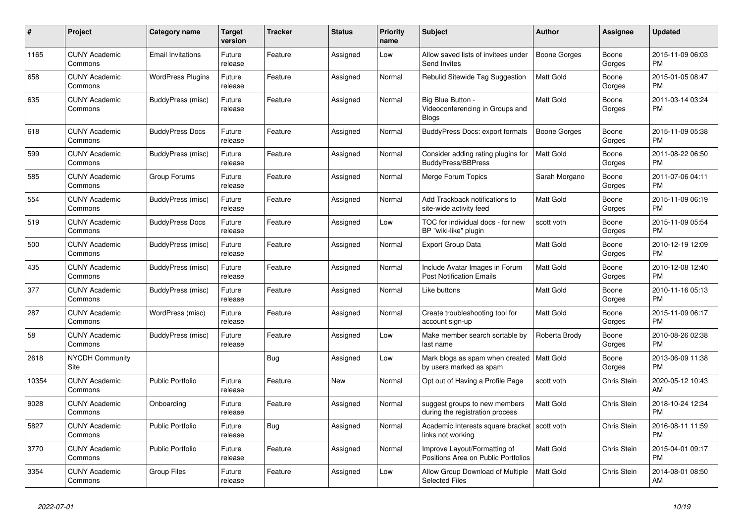| #     | Project                         | <b>Category name</b>     | Target<br>version | <b>Tracker</b> | <b>Status</b> | Priority<br>name | <b>Subject</b>                                                      | <b>Author</b>       | <b>Assignee</b>    | <b>Updated</b>                |
|-------|---------------------------------|--------------------------|-------------------|----------------|---------------|------------------|---------------------------------------------------------------------|---------------------|--------------------|-------------------------------|
| 1165  | <b>CUNY Academic</b><br>Commons | <b>Email Invitations</b> | Future<br>release | Feature        | Assigned      | Low              | Allow saved lists of invitees under<br>Send Invites                 | <b>Boone Gorges</b> | Boone<br>Gorges    | 2015-11-09 06:03<br>PM.       |
| 658   | <b>CUNY Academic</b><br>Commons | <b>WordPress Plugins</b> | Future<br>release | Feature        | Assigned      | Normal           | Rebulid Sitewide Tag Suggestion                                     | Matt Gold           | Boone<br>Gorges    | 2015-01-05 08:47<br><b>PM</b> |
| 635   | <b>CUNY Academic</b><br>Commons | BuddyPress (misc)        | Future<br>release | Feature        | Assigned      | Normal           | Big Blue Button -<br>Videoconferencing in Groups and<br>Blogs       | Matt Gold           | Boone<br>Gorges    | 2011-03-14 03:24<br><b>PM</b> |
| 618   | <b>CUNY Academic</b><br>Commons | <b>BuddyPress Docs</b>   | Future<br>release | Feature        | Assigned      | Normal           | <b>BuddyPress Docs: export formats</b>                              | Boone Gorges        | Boone<br>Gorges    | 2015-11-09 05:38<br><b>PM</b> |
| 599   | <b>CUNY Academic</b><br>Commons | BuddyPress (misc)        | Future<br>release | Feature        | Assigned      | Normal           | Consider adding rating plugins for<br><b>BuddyPress/BBPress</b>     | <b>Matt Gold</b>    | Boone<br>Gorges    | 2011-08-22 06:50<br><b>PM</b> |
| 585   | <b>CUNY Academic</b><br>Commons | Group Forums             | Future<br>release | Feature        | Assigned      | Normal           | Merge Forum Topics                                                  | Sarah Morgano       | Boone<br>Gorges    | 2011-07-06 04:11<br>PM        |
| 554   | <b>CUNY Academic</b><br>Commons | BuddyPress (misc)        | Future<br>release | Feature        | Assigned      | Normal           | Add Trackback notifications to<br>site-wide activity feed           | Matt Gold           | Boone<br>Gorges    | 2015-11-09 06:19<br><b>PM</b> |
| 519   | <b>CUNY Academic</b><br>Commons | <b>BuddyPress Docs</b>   | Future<br>release | Feature        | Assigned      | Low              | TOC for individual docs - for new<br>BP "wiki-like" plugin          | scott voth          | Boone<br>Gorges    | 2015-11-09 05:54<br><b>PM</b> |
| 500   | <b>CUNY Academic</b><br>Commons | BuddyPress (misc)        | Future<br>release | Feature        | Assigned      | Normal           | <b>Export Group Data</b>                                            | <b>Matt Gold</b>    | Boone<br>Gorges    | 2010-12-19 12:09<br><b>PM</b> |
| 435   | <b>CUNY Academic</b><br>Commons | BuddyPress (misc)        | Future<br>release | Feature        | Assigned      | Normal           | Include Avatar Images in Forum<br><b>Post Notification Emails</b>   | Matt Gold           | Boone<br>Gorges    | 2010-12-08 12:40<br><b>PM</b> |
| 377   | <b>CUNY Academic</b><br>Commons | BuddyPress (misc)        | Future<br>release | Feature        | Assigned      | Normal           | Like buttons                                                        | Matt Gold           | Boone<br>Gorges    | 2010-11-16 05:13<br><b>PM</b> |
| 287   | <b>CUNY Academic</b><br>Commons | WordPress (misc)         | Future<br>release | Feature        | Assigned      | Normal           | Create troubleshooting tool for<br>account sign-up                  | Matt Gold           | Boone<br>Gorges    | 2015-11-09 06:17<br><b>PM</b> |
| 58    | <b>CUNY Academic</b><br>Commons | BuddyPress (misc)        | Future<br>release | Feature        | Assigned      | Low              | Make member search sortable by<br>last name                         | Roberta Brody       | Boone<br>Gorges    | 2010-08-26 02:38<br><b>PM</b> |
| 2618  | <b>NYCDH Community</b><br>Site  |                          |                   | <b>Bug</b>     | Assigned      | Low              | Mark blogs as spam when created<br>by users marked as spam          | Matt Gold           | Boone<br>Gorges    | 2013-06-09 11:38<br><b>PM</b> |
| 10354 | <b>CUNY Academic</b><br>Commons | <b>Public Portfolio</b>  | Future<br>release | Feature        | New           | Normal           | Opt out of Having a Profile Page                                    | scott voth          | <b>Chris Stein</b> | 2020-05-12 10:43<br>AM.       |
| 9028  | <b>CUNY Academic</b><br>Commons | Onboarding               | Future<br>release | Feature        | Assigned      | Normal           | suggest groups to new members<br>during the registration process    | Matt Gold           | Chris Stein        | 2018-10-24 12:34<br><b>PM</b> |
| 5827  | <b>CUNY Academic</b><br>Commons | <b>Public Portfolio</b>  | Future<br>release | Bug            | Assigned      | Normal           | Academic Interests square bracket   scott voth<br>links not working |                     | Chris Stein        | 2016-08-11 11:59<br><b>PM</b> |
| 3770  | <b>CUNY Academic</b><br>Commons | <b>Public Portfolio</b>  | Future<br>release | Feature        | Assigned      | Normal           | Improve Layout/Formatting of<br>Positions Area on Public Portfolios | Matt Gold           | Chris Stein        | 2015-04-01 09:17<br><b>PM</b> |
| 3354  | <b>CUNY Academic</b><br>Commons | <b>Group Files</b>       | Future<br>release | Feature        | Assigned      | Low              | Allow Group Download of Multiple<br><b>Selected Files</b>           | <b>Matt Gold</b>    | Chris Stein        | 2014-08-01 08:50<br>AM        |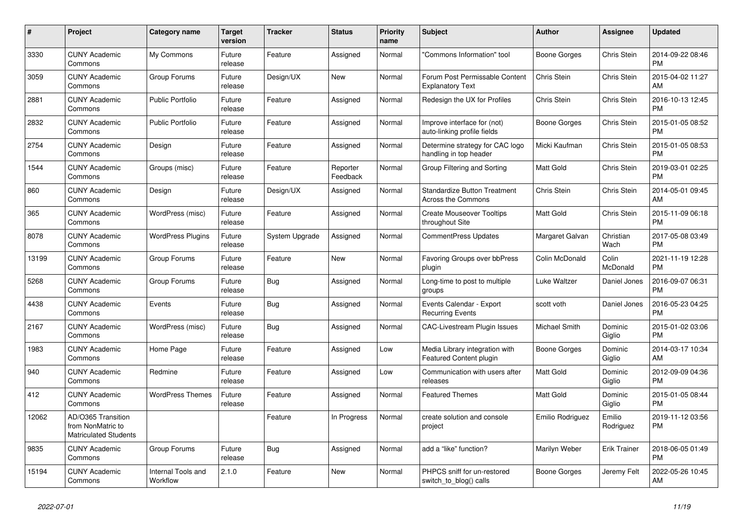| $\pmb{\#}$ | <b>Project</b>                                                          | <b>Category name</b>           | <b>Target</b><br>version | <b>Tracker</b> | <b>Status</b>        | <b>Priority</b><br>name | <b>Subject</b>                                                   | <b>Author</b>    | Assignee            | <b>Updated</b>                |
|------------|-------------------------------------------------------------------------|--------------------------------|--------------------------|----------------|----------------------|-------------------------|------------------------------------------------------------------|------------------|---------------------|-------------------------------|
| 3330       | <b>CUNY Academic</b><br>Commons                                         | My Commons                     | Future<br>release        | Feature        | Assigned             | Normal                  | "Commons Information" tool                                       | Boone Gorges     | Chris Stein         | 2014-09-22 08:46<br><b>PM</b> |
| 3059       | <b>CUNY Academic</b><br>Commons                                         | Group Forums                   | Future<br>release        | Design/UX      | New                  | Normal                  | Forum Post Permissable Content<br><b>Explanatory Text</b>        | Chris Stein      | Chris Stein         | 2015-04-02 11:27<br>AM        |
| 2881       | <b>CUNY Academic</b><br>Commons                                         | <b>Public Portfolio</b>        | Future<br>release        | Feature        | Assigned             | Normal                  | Redesign the UX for Profiles                                     | Chris Stein      | Chris Stein         | 2016-10-13 12:45<br><b>PM</b> |
| 2832       | <b>CUNY Academic</b><br>Commons                                         | <b>Public Portfolio</b>        | Future<br>release        | Feature        | Assigned             | Normal                  | Improve interface for (not)<br>auto-linking profile fields       | Boone Gorges     | Chris Stein         | 2015-01-05 08:52<br><b>PM</b> |
| 2754       | <b>CUNY Academic</b><br>Commons                                         | Design                         | Future<br>release        | Feature        | Assigned             | Normal                  | Determine strategy for CAC logo<br>handling in top header        | Micki Kaufman    | Chris Stein         | 2015-01-05 08:53<br><b>PM</b> |
| 1544       | <b>CUNY Academic</b><br>Commons                                         | Groups (misc)                  | Future<br>release        | Feature        | Reporter<br>Feedback | Normal                  | Group Filtering and Sorting                                      | Matt Gold        | Chris Stein         | 2019-03-01 02:25<br><b>PM</b> |
| 860        | <b>CUNY Academic</b><br>Commons                                         | Design                         | Future<br>release        | Design/UX      | Assigned             | Normal                  | <b>Standardize Button Treatment</b><br><b>Across the Commons</b> | Chris Stein      | Chris Stein         | 2014-05-01 09:45<br>AM        |
| 365        | <b>CUNY Academic</b><br>Commons                                         | WordPress (misc)               | Future<br>release        | Feature        | Assigned             | Normal                  | <b>Create Mouseover Tooltips</b><br>throughout Site              | Matt Gold        | Chris Stein         | 2015-11-09 06:18<br><b>PM</b> |
| 8078       | <b>CUNY Academic</b><br>Commons                                         | <b>WordPress Plugins</b>       | Future<br>release        | System Upgrade | Assigned             | Normal                  | <b>CommentPress Updates</b>                                      | Margaret Galvan  | Christian<br>Wach   | 2017-05-08 03:49<br><b>PM</b> |
| 13199      | <b>CUNY Academic</b><br>Commons                                         | Group Forums                   | Future<br>release        | Feature        | <b>New</b>           | Normal                  | Favoring Groups over bbPress<br>plugin                           | Colin McDonald   | Colin<br>McDonald   | 2021-11-19 12:28<br><b>PM</b> |
| 5268       | <b>CUNY Academic</b><br>Commons                                         | Group Forums                   | Future<br>release        | Bug            | Assigned             | Normal                  | Long-time to post to multiple<br>groups                          | Luke Waltzer     | Daniel Jones        | 2016-09-07 06:31<br><b>PM</b> |
| 4438       | <b>CUNY Academic</b><br>Commons                                         | Events                         | Future<br>release        | Bug            | Assigned             | Normal                  | Events Calendar - Export<br><b>Recurring Events</b>              | scott voth       | Daniel Jones        | 2016-05-23 04:25<br><b>PM</b> |
| 2167       | <b>CUNY Academic</b><br>Commons                                         | WordPress (misc)               | Future<br>release        | Bug            | Assigned             | Normal                  | <b>CAC-Livestream Plugin Issues</b>                              | Michael Smith    | Dominic<br>Giglio   | 2015-01-02 03:06<br><b>PM</b> |
| 1983       | <b>CUNY Academic</b><br>Commons                                         | Home Page                      | Future<br>release        | Feature        | Assigned             | Low                     | Media Library integration with<br>Featured Content plugin        | Boone Gorges     | Dominic<br>Giglio   | 2014-03-17 10:34<br>AM        |
| 940        | <b>CUNY Academic</b><br>Commons                                         | Redmine                        | Future<br>release        | Feature        | Assigned             | Low                     | Communication with users after<br>releases                       | Matt Gold        | Dominic<br>Giglio   | 2012-09-09 04:36<br><b>PM</b> |
| 412        | <b>CUNY Academic</b><br>Commons                                         | <b>WordPress Themes</b>        | Future<br>release        | Feature        | Assigned             | Normal                  | <b>Featured Themes</b>                                           | Matt Gold        | Dominic<br>Giglio   | 2015-01-05 08:44<br><b>PM</b> |
| 12062      | AD/O365 Transition<br>from NonMatric to<br><b>Matriculated Students</b> |                                |                          | Feature        | In Progress          | Normal                  | create solution and console<br>project                           | Emilio Rodriguez | Emilio<br>Rodriguez | 2019-11-12 03:56<br><b>PM</b> |
| 9835       | <b>CUNY Academic</b><br>Commons                                         | Group Forums                   | Future<br>release        | Bug            | Assigned             | Normal                  | add a "like" function?                                           | Marilyn Weber    | <b>Erik Trainer</b> | 2018-06-05 01:49<br><b>PM</b> |
| 15194      | CUNY Academic<br>Commons                                                | Internal Tools and<br>Workflow | 2.1.0                    | Feature        | <b>New</b>           | Normal                  | PHPCS sniff for un-restored<br>switch_to_blog() calls            | Boone Gorges     | Jeremy Felt         | 2022-05-26 10:45<br>AM        |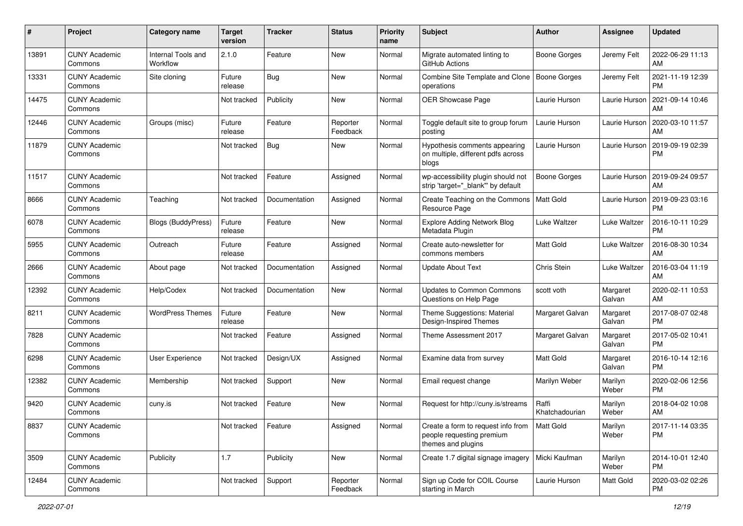| #     | Project                         | <b>Category name</b>           | <b>Target</b><br>version | <b>Tracker</b> | <b>Status</b>        | <b>Priority</b><br>name | <b>Subject</b>                                                                        | <b>Author</b>           | <b>Assignee</b>    | <b>Updated</b>                |
|-------|---------------------------------|--------------------------------|--------------------------|----------------|----------------------|-------------------------|---------------------------------------------------------------------------------------|-------------------------|--------------------|-------------------------------|
| 13891 | <b>CUNY Academic</b><br>Commons | Internal Tools and<br>Workflow | 2.1.0                    | Feature        | New                  | Normal                  | Migrate automated linting to<br>GitHub Actions                                        | Boone Gorges            | Jeremy Felt        | 2022-06-29 11:13<br>AM.       |
| 13331 | <b>CUNY Academic</b><br>Commons | Site cloning                   | Future<br>release        | Bug            | New                  | Normal                  | Combine Site Template and Clone<br>operations                                         | Boone Gorges            | Jeremy Felt        | 2021-11-19 12:39<br><b>PM</b> |
| 14475 | <b>CUNY Academic</b><br>Commons |                                | Not tracked              | Publicity      | New                  | Normal                  | OER Showcase Page                                                                     | Laurie Hurson           | Laurie Hurson      | 2021-09-14 10:46<br>AM        |
| 12446 | <b>CUNY Academic</b><br>Commons | Groups (misc)                  | Future<br>release        | Feature        | Reporter<br>Feedback | Normal                  | Toggle default site to group forum<br>posting                                         | Laurie Hurson           | Laurie Hurson      | 2020-03-10 11:57<br>AM        |
| 11879 | <b>CUNY Academic</b><br>Commons |                                | Not tracked              | Bug            | New                  | Normal                  | Hypothesis comments appearing<br>on multiple, different pdfs across<br>blogs          | Laurie Hurson           | Laurie Hurson      | 2019-09-19 02:39<br>PM        |
| 11517 | <b>CUNY Academic</b><br>Commons |                                | Not tracked              | Feature        | Assigned             | Normal                  | wp-accessibility plugin should not<br>strip 'target="_blank"' by default              | Boone Gorges            | Laurie Hurson      | 2019-09-24 09:57<br>AM        |
| 8666  | <b>CUNY Academic</b><br>Commons | Teaching                       | Not tracked              | Documentation  | Assigned             | Normal                  | Create Teaching on the Commons<br>Resource Page                                       | <b>Matt Gold</b>        | Laurie Hurson      | 2019-09-23 03:16<br><b>PM</b> |
| 6078  | <b>CUNY Academic</b><br>Commons | Blogs (BuddyPress)             | Future<br>release        | Feature        | New                  | Normal                  | Explore Adding Network Blog<br>Metadata Plugin                                        | Luke Waltzer            | Luke Waltzer       | 2016-10-11 10:29<br><b>PM</b> |
| 5955  | <b>CUNY Academic</b><br>Commons | Outreach                       | Future<br>release        | Feature        | Assigned             | Normal                  | Create auto-newsletter for<br>commons members                                         | <b>Matt Gold</b>        | Luke Waltzer       | 2016-08-30 10:34<br>AM        |
| 2666  | <b>CUNY Academic</b><br>Commons | About page                     | Not tracked              | Documentation  | Assigned             | Normal                  | <b>Update About Text</b>                                                              | Chris Stein             | Luke Waltzer       | 2016-03-04 11:19<br>AM        |
| 12392 | <b>CUNY Academic</b><br>Commons | Help/Codex                     | Not tracked              | Documentation  | New                  | Normal                  | <b>Updates to Common Commons</b><br>Questions on Help Page                            | scott voth              | Margaret<br>Galvan | 2020-02-11 10:53<br>AM        |
| 8211  | <b>CUNY Academic</b><br>Commons | <b>WordPress Themes</b>        | Future<br>release        | Feature        | New                  | Normal                  | Theme Suggestions: Material<br>Design-Inspired Themes                                 | Margaret Galvan         | Margaret<br>Galvan | 2017-08-07 02:48<br><b>PM</b> |
| 7828  | <b>CUNY Academic</b><br>Commons |                                | Not tracked              | Feature        | Assigned             | Normal                  | Theme Assessment 2017                                                                 | Margaret Galvan         | Margaret<br>Galvan | 2017-05-02 10:41<br><b>PM</b> |
| 6298  | <b>CUNY Academic</b><br>Commons | <b>User Experience</b>         | Not tracked              | Design/UX      | Assigned             | Normal                  | Examine data from survey                                                              | <b>Matt Gold</b>        | Margaret<br>Galvan | 2016-10-14 12:16<br><b>PM</b> |
| 12382 | <b>CUNY Academic</b><br>Commons | Membership                     | Not tracked              | Support        | <b>New</b>           | Normal                  | Email request change                                                                  | Marilyn Weber           | Marilyn<br>Weber   | 2020-02-06 12:56<br><b>PM</b> |
| 9420  | <b>CUNY Academic</b><br>Commons | cuny.is                        | Not tracked              | Feature        | <b>New</b>           | Normal                  | Request for http://cuny.is/streams                                                    | Raffi<br>Khatchadourian | Marilyn<br>Weber   | 2018-04-02 10:08<br>AM        |
| 8837  | <b>CUNY Academic</b><br>Commons |                                | Not tracked              | Feature        | Assigned             | Normal                  | Create a form to request info from<br>people requesting premium<br>themes and plugins | Matt Gold               | Marilyn<br>Weber   | 2017-11-14 03:35<br>PM        |
| 3509  | <b>CUNY Academic</b><br>Commons | Publicity                      | 1.7                      | Publicity      | New                  | Normal                  | Create 1.7 digital signage imagery                                                    | Micki Kaufman           | Marilyn<br>Weber   | 2014-10-01 12:40<br><b>PM</b> |
| 12484 | <b>CUNY Academic</b><br>Commons |                                | Not tracked              | Support        | Reporter<br>Feedback | Normal                  | Sign up Code for COIL Course<br>starting in March                                     | Laurie Hurson           | Matt Gold          | 2020-03-02 02:26<br><b>PM</b> |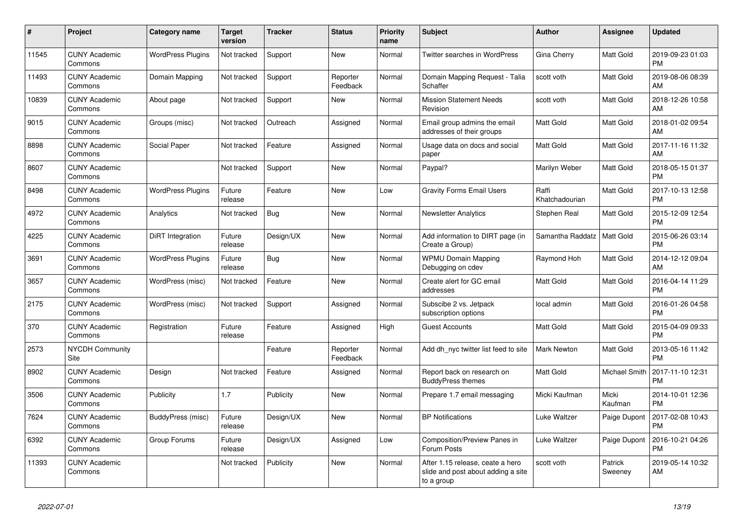| #     | <b>Project</b>                  | Category name            | <b>Target</b><br>version | <b>Tracker</b> | <b>Status</b>        | <b>Priority</b><br>name | <b>Subject</b>                                                                       | <b>Author</b>           | Assignee           | <b>Updated</b>                |
|-------|---------------------------------|--------------------------|--------------------------|----------------|----------------------|-------------------------|--------------------------------------------------------------------------------------|-------------------------|--------------------|-------------------------------|
| 11545 | <b>CUNY Academic</b><br>Commons | <b>WordPress Plugins</b> | Not tracked              | Support        | New                  | Normal                  | <b>Twitter searches in WordPress</b>                                                 | Gina Cherry             | Matt Gold          | 2019-09-23 01:03<br><b>PM</b> |
| 11493 | <b>CUNY Academic</b><br>Commons | Domain Mapping           | Not tracked              | Support        | Reporter<br>Feedback | Normal                  | Domain Mapping Request - Talia<br>Schaffer                                           | scott voth              | Matt Gold          | 2019-08-06 08:39<br>AM        |
| 10839 | <b>CUNY Academic</b><br>Commons | About page               | Not tracked              | Support        | New                  | Normal                  | <b>Mission Statement Needs</b><br>Revision                                           | scott voth              | Matt Gold          | 2018-12-26 10:58<br>AM        |
| 9015  | <b>CUNY Academic</b><br>Commons | Groups (misc)            | Not tracked              | Outreach       | Assigned             | Normal                  | Email group admins the email<br>addresses of their groups                            | <b>Matt Gold</b>        | Matt Gold          | 2018-01-02 09:54<br>AM        |
| 8898  | <b>CUNY Academic</b><br>Commons | Social Paper             | Not tracked              | Feature        | Assigned             | Normal                  | Usage data on docs and social<br>paper                                               | Matt Gold               | Matt Gold          | 2017-11-16 11:32<br>AM        |
| 8607  | <b>CUNY Academic</b><br>Commons |                          | Not tracked              | Support        | New                  | Normal                  | Paypal?                                                                              | Marilyn Weber           | Matt Gold          | 2018-05-15 01:37<br><b>PM</b> |
| 8498  | <b>CUNY Academic</b><br>Commons | <b>WordPress Plugins</b> | Future<br>release        | Feature        | <b>New</b>           | Low                     | <b>Gravity Forms Email Users</b>                                                     | Raffi<br>Khatchadourian | Matt Gold          | 2017-10-13 12:58<br><b>PM</b> |
| 4972  | <b>CUNY Academic</b><br>Commons | Analytics                | Not tracked              | Bug            | New                  | Normal                  | <b>Newsletter Analytics</b>                                                          | Stephen Real            | Matt Gold          | 2015-12-09 12:54<br><b>PM</b> |
| 4225  | <b>CUNY Academic</b><br>Commons | DiRT Integration         | Future<br>release        | Design/UX      | <b>New</b>           | Normal                  | Add information to DIRT page (in<br>Create a Group)                                  | Samantha Raddatz        | Matt Gold          | 2015-06-26 03:14<br><b>PM</b> |
| 3691  | <b>CUNY Academic</b><br>Commons | <b>WordPress Plugins</b> | Future<br>release        | Bug            | <b>New</b>           | Normal                  | <b>WPMU Domain Mapping</b><br>Debugging on cdev                                      | Raymond Hoh             | Matt Gold          | 2014-12-12 09:04<br>AM        |
| 3657  | <b>CUNY Academic</b><br>Commons | WordPress (misc)         | Not tracked              | Feature        | New                  | Normal                  | Create alert for GC email<br>addresses                                               | Matt Gold               | Matt Gold          | 2016-04-14 11:29<br><b>PM</b> |
| 2175  | <b>CUNY Academic</b><br>Commons | WordPress (misc)         | Not tracked              | Support        | Assigned             | Normal                  | Subscibe 2 vs. Jetpack<br>subscription options                                       | local admin             | Matt Gold          | 2016-01-26 04:58<br><b>PM</b> |
| 370   | <b>CUNY Academic</b><br>Commons | Registration             | Future<br>release        | Feature        | Assigned             | High                    | <b>Guest Accounts</b>                                                                | <b>Matt Gold</b>        | Matt Gold          | 2015-04-09 09:33<br><b>PM</b> |
| 2573  | <b>NYCDH Community</b><br>Site  |                          |                          | Feature        | Reporter<br>Feedback | Normal                  | Add dh nyc twitter list feed to site                                                 | <b>Mark Newton</b>      | Matt Gold          | 2013-05-16 11:42<br><b>PM</b> |
| 8902  | <b>CUNY Academic</b><br>Commons | Design                   | Not tracked              | Feature        | Assigned             | Normal                  | Report back on research on<br><b>BuddyPress themes</b>                               | Matt Gold               | Michael Smith      | 2017-11-10 12:31<br><b>PM</b> |
| 3506  | <b>CUNY Academic</b><br>Commons | Publicity                | 1.7                      | Publicity      | <b>New</b>           | Normal                  | Prepare 1.7 email messaging                                                          | Micki Kaufman           | Micki<br>Kaufman   | 2014-10-01 12:36<br><b>PM</b> |
| 7624  | <b>CUNY Academic</b><br>Commons | BuddyPress (misc)        | Future<br>release        | Design/UX      | <b>New</b>           | Normal                  | <b>BP Notifications</b>                                                              | Luke Waltzer            | Paige Dupont       | 2017-02-08 10:43<br><b>PM</b> |
| 6392  | <b>CUNY Academic</b><br>Commons | Group Forums             | Future<br>release        | Design/UX      | Assigned             | Low                     | Composition/Preview Panes in<br>Forum Posts                                          | Luke Waltzer            | Paige Dupont       | 2016-10-21 04:26<br><b>PM</b> |
| 11393 | <b>CUNY Academic</b><br>Commons |                          | Not tracked              | Publicity      | New                  | Normal                  | After 1.15 release, ceate a hero<br>slide and post about adding a site<br>to a group | scott voth              | Patrick<br>Sweeney | 2019-05-14 10:32<br>AM        |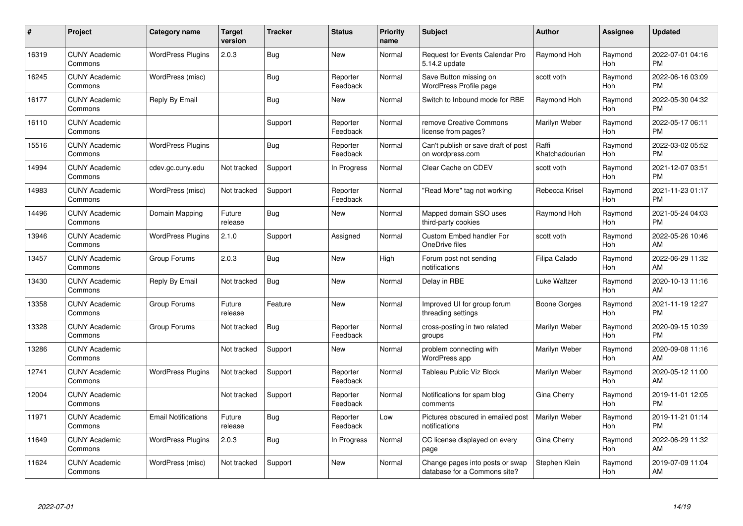| $\#$  | Project                         | <b>Category name</b>       | <b>Target</b><br>version | <b>Tracker</b> | <b>Status</b>        | Priority<br>name | <b>Subject</b>                                                  | <b>Author</b>           | <b>Assignee</b> | <b>Updated</b>                |
|-------|---------------------------------|----------------------------|--------------------------|----------------|----------------------|------------------|-----------------------------------------------------------------|-------------------------|-----------------|-------------------------------|
| 16319 | <b>CUNY Academic</b><br>Commons | <b>WordPress Plugins</b>   | 2.0.3                    | Bug            | <b>New</b>           | Normal           | Request for Events Calendar Pro<br>5.14.2 update                | Raymond Hoh             | Raymond<br>Hoh  | 2022-07-01 04:16<br><b>PM</b> |
| 16245 | <b>CUNY Academic</b><br>Commons | WordPress (misc)           |                          | Bug            | Reporter<br>Feedback | Normal           | Save Button missing on<br>WordPress Profile page                | scott voth              | Raymond<br>Hoh  | 2022-06-16 03:09<br><b>PM</b> |
| 16177 | <b>CUNY Academic</b><br>Commons | Reply By Email             |                          | Bug            | New                  | Normal           | Switch to Inbound mode for RBE                                  | Raymond Hoh             | Raymond<br>Hoh  | 2022-05-30 04:32<br><b>PM</b> |
| 16110 | <b>CUNY Academic</b><br>Commons |                            |                          | Support        | Reporter<br>Feedback | Normal           | remove Creative Commons<br>license from pages?                  | Marilyn Weber           | Raymond<br>Hoh  | 2022-05-17 06:11<br><b>PM</b> |
| 15516 | <b>CUNY Academic</b><br>Commons | <b>WordPress Plugins</b>   |                          | Bug            | Reporter<br>Feedback | Normal           | Can't publish or save draft of post<br>on wordpress.com         | Raffi<br>Khatchadourian | Raymond<br>Hoh  | 2022-03-02 05:52<br><b>PM</b> |
| 14994 | <b>CUNY Academic</b><br>Commons | cdev.gc.cuny.edu           | Not tracked              | Support        | In Progress          | Normal           | Clear Cache on CDEV                                             | scott voth              | Raymond<br>Hoh  | 2021-12-07 03:51<br><b>PM</b> |
| 14983 | <b>CUNY Academic</b><br>Commons | WordPress (misc)           | Not tracked              | Support        | Reporter<br>Feedback | Normal           | "Read More" tag not working                                     | Rebecca Krisel          | Raymond<br>Hoh  | 2021-11-23 01:17<br><b>PM</b> |
| 14496 | <b>CUNY Academic</b><br>Commons | Domain Mapping             | Future<br>release        | Bug            | New                  | Normal           | Mapped domain SSO uses<br>third-party cookies                   | Raymond Hoh             | Raymond<br>Hoh  | 2021-05-24 04:03<br><b>PM</b> |
| 13946 | <b>CUNY Academic</b><br>Commons | <b>WordPress Plugins</b>   | 2.1.0                    | Support        | Assigned             | Normal           | Custom Embed handler For<br>OneDrive files                      | scott voth              | Raymond<br>Hoh  | 2022-05-26 10:46<br>AM        |
| 13457 | <b>CUNY Academic</b><br>Commons | Group Forums               | 2.0.3                    | <b>Bug</b>     | <b>New</b>           | High             | Forum post not sending<br>notifications                         | Filipa Calado           | Raymond<br>Hoh  | 2022-06-29 11:32<br>AM        |
| 13430 | <b>CUNY Academic</b><br>Commons | Reply By Email             | Not tracked              | Bug            | New                  | Normal           | Delay in RBE                                                    | Luke Waltzer            | Raymond<br>Hoh  | 2020-10-13 11:16<br>AM        |
| 13358 | <b>CUNY Academic</b><br>Commons | Group Forums               | Future<br>release        | Feature        | New                  | Normal           | Improved UI for group forum<br>threading settings               | <b>Boone Gorges</b>     | Raymond<br>Hoh  | 2021-11-19 12:27<br><b>PM</b> |
| 13328 | <b>CUNY Academic</b><br>Commons | Group Forums               | Not tracked              | Bug            | Reporter<br>Feedback | Normal           | cross-posting in two related<br>groups                          | Marilyn Weber           | Raymond<br>Hoh  | 2020-09-15 10:39<br><b>PM</b> |
| 13286 | <b>CUNY Academic</b><br>Commons |                            | Not tracked              | Support        | New                  | Normal           | problem connecting with<br><b>WordPress app</b>                 | Marilyn Weber           | Raymond<br>Hoh  | 2020-09-08 11:16<br>AM        |
| 12741 | <b>CUNY Academic</b><br>Commons | <b>WordPress Plugins</b>   | Not tracked              | Support        | Reporter<br>Feedback | Normal           | Tableau Public Viz Block                                        | Marilyn Weber           | Raymond<br>Hoh  | 2020-05-12 11:00<br>AM        |
| 12004 | <b>CUNY Academic</b><br>Commons |                            | Not tracked              | Support        | Reporter<br>Feedback | Normal           | Notifications for spam blog<br>comments                         | Gina Cherry             | Raymond<br>Hoh  | 2019-11-01 12:05<br><b>PM</b> |
| 11971 | <b>CUNY Academic</b><br>Commons | <b>Email Notifications</b> | Future<br>release        | Bug            | Reporter<br>Feedback | Low              | Pictures obscured in emailed post<br>notifications              | Marilyn Weber           | Raymond<br>Hoh  | 2019-11-21 01:14<br><b>PM</b> |
| 11649 | <b>CUNY Academic</b><br>Commons | <b>WordPress Plugins</b>   | 2.0.3                    | Bug            | In Progress          | Normal           | CC license displayed on every<br>page                           | Gina Cherry             | Raymond<br>Hoh  | 2022-06-29 11:32<br>AM        |
| 11624 | <b>CUNY Academic</b><br>Commons | WordPress (misc)           | Not tracked              | Support        | New                  | Normal           | Change pages into posts or swap<br>database for a Commons site? | Stephen Klein           | Raymond<br>Hoh  | 2019-07-09 11:04<br>AM        |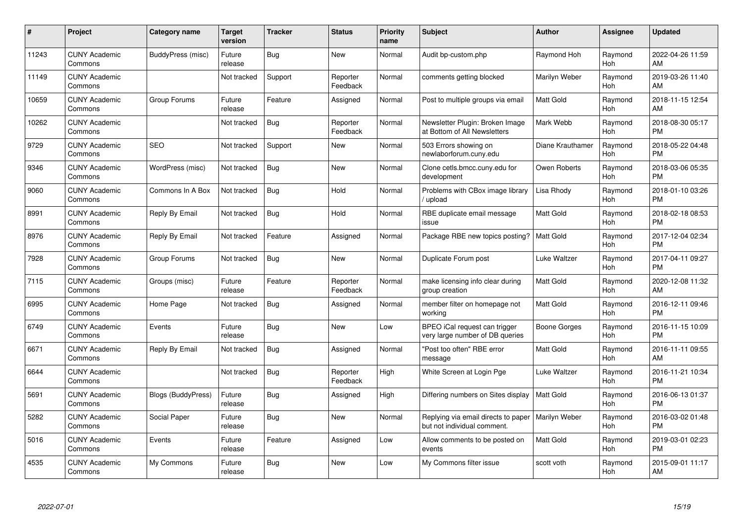| #     | Project                         | <b>Category name</b>      | <b>Target</b><br>version | <b>Tracker</b> | <b>Status</b>        | <b>Priority</b><br>name | <b>Subject</b>                                                     | <b>Author</b>    | Assignee       | <b>Updated</b>                |
|-------|---------------------------------|---------------------------|--------------------------|----------------|----------------------|-------------------------|--------------------------------------------------------------------|------------------|----------------|-------------------------------|
| 11243 | <b>CUNY Academic</b><br>Commons | BuddyPress (misc)         | Future<br>release        | Bug            | <b>New</b>           | Normal                  | Audit bp-custom.php                                                | Raymond Hoh      | Raymond<br>Hoh | 2022-04-26 11:59<br>AM        |
| 11149 | <b>CUNY Academic</b><br>Commons |                           | Not tracked              | Support        | Reporter<br>Feedback | Normal                  | comments getting blocked                                           | Marilyn Weber    | Raymond<br>Hoh | 2019-03-26 11:40<br>AM        |
| 10659 | <b>CUNY Academic</b><br>Commons | Group Forums              | Future<br>release        | Feature        | Assigned             | Normal                  | Post to multiple groups via email                                  | <b>Matt Gold</b> | Raymond<br>Hoh | 2018-11-15 12:54<br>AM        |
| 10262 | <b>CUNY Academic</b><br>Commons |                           | Not tracked              | Bug            | Reporter<br>Feedback | Normal                  | Newsletter Plugin: Broken Image<br>at Bottom of All Newsletters    | Mark Webb        | Raymond<br>Hoh | 2018-08-30 05:17<br><b>PM</b> |
| 9729  | <b>CUNY Academic</b><br>Commons | <b>SEO</b>                | Not tracked              | Support        | <b>New</b>           | Normal                  | 503 Errors showing on<br>newlaborforum.cuny.edu                    | Diane Krauthamer | Raymond<br>Hoh | 2018-05-22 04:48<br><b>PM</b> |
| 9346  | <b>CUNY Academic</b><br>Commons | WordPress (misc)          | Not tracked              | Bug            | <b>New</b>           | Normal                  | Clone cetls.bmcc.cuny.edu for<br>development                       | Owen Roberts     | Raymond<br>Hoh | 2018-03-06 05:35<br><b>PM</b> |
| 9060  | <b>CUNY Academic</b><br>Commons | Commons In A Box          | Not tracked              | Bug            | Hold                 | Normal                  | Problems with CBox image library<br>/ upload                       | Lisa Rhody       | Raymond<br>Hoh | 2018-01-10 03:26<br><b>PM</b> |
| 8991  | <b>CUNY Academic</b><br>Commons | Reply By Email            | Not tracked              | Bug            | Hold                 | Normal                  | RBE duplicate email message<br>issue                               | Matt Gold        | Raymond<br>Hoh | 2018-02-18 08:53<br><b>PM</b> |
| 8976  | <b>CUNY Academic</b><br>Commons | Reply By Email            | Not tracked              | Feature        | Assigned             | Normal                  | Package RBE new topics posting?                                    | <b>Matt Gold</b> | Raymond<br>Hoh | 2017-12-04 02:34<br><b>PM</b> |
| 7928  | <b>CUNY Academic</b><br>Commons | Group Forums              | Not tracked              | Bug            | <b>New</b>           | Normal                  | Duplicate Forum post                                               | Luke Waltzer     | Raymond<br>Hoh | 2017-04-11 09:27<br><b>PM</b> |
| 7115  | <b>CUNY Academic</b><br>Commons | Groups (misc)             | Future<br>release        | Feature        | Reporter<br>Feedback | Normal                  | make licensing info clear during<br>group creation                 | Matt Gold        | Raymond<br>Hoh | 2020-12-08 11:32<br>AM        |
| 6995  | <b>CUNY Academic</b><br>Commons | Home Page                 | Not tracked              | Bug            | Assigned             | Normal                  | member filter on homepage not<br>working                           | Matt Gold        | Raymond<br>Hoh | 2016-12-11 09:46<br><b>PM</b> |
| 6749  | <b>CUNY Academic</b><br>Commons | Events                    | Future<br>release        | Bug            | New                  | Low                     | BPEO iCal request can trigger<br>very large number of DB queries   | Boone Gorges     | Raymond<br>Hoh | 2016-11-15 10:09<br><b>PM</b> |
| 6671  | <b>CUNY Academic</b><br>Commons | Reply By Email            | Not tracked              | <b>Bug</b>     | Assigned             | Normal                  | "Post too often" RBE error<br>message                              | Matt Gold        | Raymond<br>Hoh | 2016-11-11 09:55<br>AM        |
| 6644  | <b>CUNY Academic</b><br>Commons |                           | Not tracked              | Bug            | Reporter<br>Feedback | High                    | White Screen at Login Pge                                          | Luke Waltzer     | Raymond<br>Hoh | 2016-11-21 10:34<br><b>PM</b> |
| 5691  | <b>CUNY Academic</b><br>Commons | <b>Blogs (BuddyPress)</b> | Future<br>release        | Bug            | Assigned             | High                    | Differing numbers on Sites display                                 | <b>Matt Gold</b> | Raymond<br>Hoh | 2016-06-13 01:37<br><b>PM</b> |
| 5282  | <b>CUNY Academic</b><br>Commons | Social Paper              | Future<br>release        | <b>Bug</b>     | New                  | Normal                  | Replying via email directs to paper<br>but not individual comment. | Marilyn Weber    | Raymond<br>Hoh | 2016-03-02 01:48<br><b>PM</b> |
| 5016  | <b>CUNY Academic</b><br>Commons | Events                    | Future<br>release        | Feature        | Assigned             | Low                     | Allow comments to be posted on<br>events                           | <b>Matt Gold</b> | Raymond<br>Hoh | 2019-03-01 02:23<br><b>PM</b> |
| 4535  | CUNY Academic<br>Commons        | My Commons                | Future<br>release        | Bug            | <b>New</b>           | Low                     | My Commons filter issue                                            | scott voth       | Raymond<br>Hoh | 2015-09-01 11:17<br>AM        |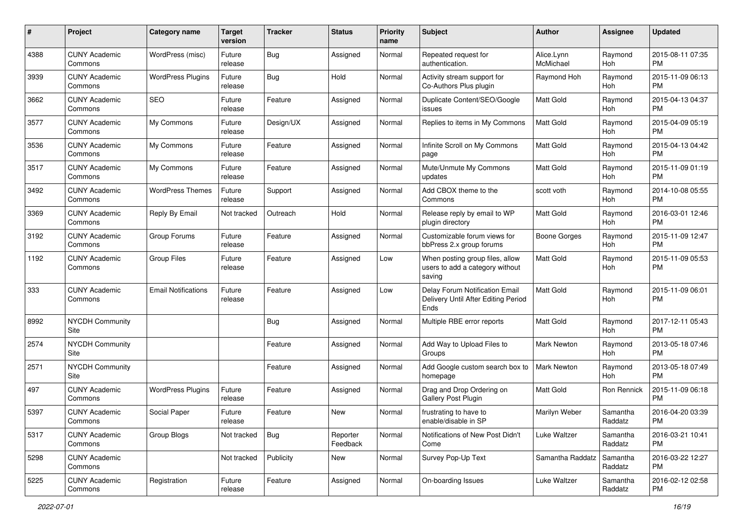| #    | Project                         | <b>Category name</b>       | <b>Target</b><br>version | <b>Tracker</b> | <b>Status</b>        | <b>Priority</b><br>name | Subject                                                                       | Author                  | Assignee            | <b>Updated</b>                |
|------|---------------------------------|----------------------------|--------------------------|----------------|----------------------|-------------------------|-------------------------------------------------------------------------------|-------------------------|---------------------|-------------------------------|
| 4388 | <b>CUNY Academic</b><br>Commons | WordPress (misc)           | Future<br>release        | Bug            | Assigned             | Normal                  | Repeated request for<br>authentication.                                       | Alice.Lynn<br>McMichael | Raymond<br>Hoh      | 2015-08-11 07:35<br><b>PM</b> |
| 3939 | <b>CUNY Academic</b><br>Commons | <b>WordPress Plugins</b>   | Future<br>release        | Bug            | Hold                 | Normal                  | Activity stream support for<br>Co-Authors Plus plugin                         | Raymond Hoh             | Raymond<br>Hoh      | 2015-11-09 06:13<br><b>PM</b> |
| 3662 | <b>CUNY Academic</b><br>Commons | SEO                        | Future<br>release        | Feature        | Assigned             | Normal                  | Duplicate Content/SEO/Google<br>issues                                        | Matt Gold               | Raymond<br>Hoh      | 2015-04-13 04:37<br><b>PM</b> |
| 3577 | <b>CUNY Academic</b><br>Commons | My Commons                 | Future<br>release        | Design/UX      | Assigned             | Normal                  | Replies to items in My Commons                                                | <b>Matt Gold</b>        | Raymond<br>Hoh      | 2015-04-09 05:19<br><b>PM</b> |
| 3536 | <b>CUNY Academic</b><br>Commons | My Commons                 | Future<br>release        | Feature        | Assigned             | Normal                  | Infinite Scroll on My Commons<br>page                                         | Matt Gold               | Raymond<br>Hoh      | 2015-04-13 04:42<br><b>PM</b> |
| 3517 | <b>CUNY Academic</b><br>Commons | My Commons                 | Future<br>release        | Feature        | Assigned             | Normal                  | Mute/Unmute My Commons<br>updates                                             | Matt Gold               | Raymond<br>Hoh      | 2015-11-09 01:19<br><b>PM</b> |
| 3492 | <b>CUNY Academic</b><br>Commons | <b>WordPress Themes</b>    | Future<br>release        | Support        | Assigned             | Normal                  | Add CBOX theme to the<br>Commons                                              | scott voth              | Raymond<br>Hoh      | 2014-10-08 05:55<br><b>PM</b> |
| 3369 | <b>CUNY Academic</b><br>Commons | Reply By Email             | Not tracked              | Outreach       | Hold                 | Normal                  | Release reply by email to WP<br>plugin directory                              | <b>Matt Gold</b>        | Raymond<br>Hoh      | 2016-03-01 12:46<br><b>PM</b> |
| 3192 | <b>CUNY Academic</b><br>Commons | Group Forums               | Future<br>release        | Feature        | Assigned             | Normal                  | Customizable forum views for<br>bbPress 2.x group forums                      | Boone Gorges            | Raymond<br>Hoh      | 2015-11-09 12:47<br><b>PM</b> |
| 1192 | <b>CUNY Academic</b><br>Commons | <b>Group Files</b>         | Future<br>release        | Feature        | Assigned             | Low                     | When posting group files, allow<br>users to add a category without<br>saving  | <b>Matt Gold</b>        | Raymond<br>Hoh      | 2015-11-09 05:53<br><b>PM</b> |
| 333  | <b>CUNY Academic</b><br>Commons | <b>Email Notifications</b> | Future<br>release        | Feature        | Assigned             | Low                     | Delay Forum Notification Email<br>Delivery Until After Editing Period<br>Ends | Matt Gold               | Raymond<br>Hoh      | 2015-11-09 06:01<br><b>PM</b> |
| 8992 | <b>NYCDH Community</b><br>Site  |                            |                          | <b>Bug</b>     | Assigned             | Normal                  | Multiple RBE error reports                                                    | Matt Gold               | Raymond<br>Hoh      | 2017-12-11 05:43<br><b>PM</b> |
| 2574 | <b>NYCDH Community</b><br>Site  |                            |                          | Feature        | Assigned             | Normal                  | Add Way to Upload Files to<br>Groups                                          | Mark Newton             | Raymond<br>Hoh      | 2013-05-18 07:46<br><b>PM</b> |
| 2571 | <b>NYCDH Community</b><br>Site  |                            |                          | Feature        | Assigned             | Normal                  | Add Google custom search box to<br>homepage                                   | Mark Newton             | Raymond<br>Hoh      | 2013-05-18 07:49<br><b>PM</b> |
| 497  | <b>CUNY Academic</b><br>Commons | <b>WordPress Plugins</b>   | Future<br>release        | Feature        | Assigned             | Normal                  | Drag and Drop Ordering on<br>Gallery Post Plugin                              | <b>Matt Gold</b>        | Ron Rennick         | 2015-11-09 06:18<br><b>PM</b> |
| 5397 | <b>CUNY Academic</b><br>Commons | Social Paper               | Future<br>release        | Feature        | New                  | Normal                  | frustrating to have to<br>enable/disable in SP                                | Marilyn Weber           | Samantha<br>Raddatz | 2016-04-20 03:39<br>PM        |
| 5317 | <b>CUNY Academic</b><br>Commons | Group Blogs                | Not tracked              | <b>Bug</b>     | Reporter<br>Feedback | Normal                  | Notifications of New Post Didn't<br>Come                                      | Luke Waltzer            | Samantha<br>Raddatz | 2016-03-21 10:41<br>PM        |
| 5298 | <b>CUNY Academic</b><br>Commons |                            | Not tracked              | Publicity      | New                  | Normal                  | Survey Pop-Up Text                                                            | Samantha Raddatz        | Samantha<br>Raddatz | 2016-03-22 12:27<br>PM        |
| 5225 | <b>CUNY Academic</b><br>Commons | Registration               | Future<br>release        | Feature        | Assigned             | Normal                  | On-boarding Issues                                                            | Luke Waltzer            | Samantha<br>Raddatz | 2016-02-12 02:58<br><b>PM</b> |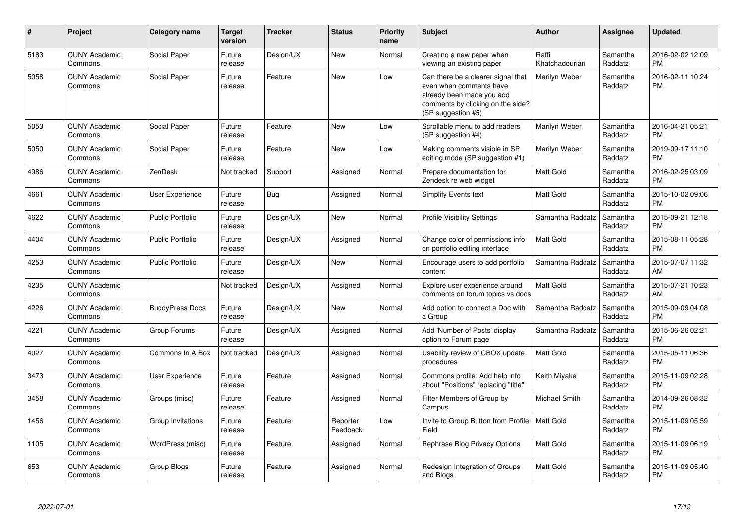| #    | Project                         | <b>Category name</b>    | <b>Target</b><br>version | <b>Tracker</b> | <b>Status</b>        | <b>Priority</b><br>name | <b>Subject</b>                                                                                                                                        | <b>Author</b>           | <b>Assignee</b>     | <b>Updated</b>                |
|------|---------------------------------|-------------------------|--------------------------|----------------|----------------------|-------------------------|-------------------------------------------------------------------------------------------------------------------------------------------------------|-------------------------|---------------------|-------------------------------|
| 5183 | <b>CUNY Academic</b><br>Commons | Social Paper            | Future<br>release        | Design/UX      | <b>New</b>           | Normal                  | Creating a new paper when<br>viewing an existing paper                                                                                                | Raffi<br>Khatchadourian | Samantha<br>Raddatz | 2016-02-02 12:09<br><b>PM</b> |
| 5058 | <b>CUNY Academic</b><br>Commons | Social Paper            | Future<br>release        | Feature        | <b>New</b>           | Low                     | Can there be a clearer signal that<br>even when comments have<br>already been made you add<br>comments by clicking on the side?<br>(SP suggestion #5) | Marilyn Weber           | Samantha<br>Raddatz | 2016-02-11 10:24<br><b>PM</b> |
| 5053 | <b>CUNY Academic</b><br>Commons | Social Paper            | Future<br>release        | Feature        | <b>New</b>           | Low                     | Scrollable menu to add readers<br>(SP suggestion #4)                                                                                                  | Marilyn Weber           | Samantha<br>Raddatz | 2016-04-21 05:21<br><b>PM</b> |
| 5050 | <b>CUNY Academic</b><br>Commons | Social Paper            | Future<br>release        | Feature        | <b>New</b>           | Low                     | Making comments visible in SP<br>editing mode (SP suggestion #1)                                                                                      | Marilyn Weber           | Samantha<br>Raddatz | 2019-09-17 11:10<br><b>PM</b> |
| 4986 | <b>CUNY Academic</b><br>Commons | <b>ZenDesk</b>          | Not tracked              | Support        | Assigned             | Normal                  | Prepare documentation for<br>Zendesk re web widget                                                                                                    | <b>Matt Gold</b>        | Samantha<br>Raddatz | 2016-02-25 03:09<br><b>PM</b> |
| 4661 | <b>CUNY Academic</b><br>Commons | User Experience         | Future<br>release        | Bug            | Assigned             | Normal                  | <b>Simplify Events text</b>                                                                                                                           | <b>Matt Gold</b>        | Samantha<br>Raddatz | 2015-10-02 09:06<br><b>PM</b> |
| 4622 | <b>CUNY Academic</b><br>Commons | <b>Public Portfolio</b> | Future<br>release        | Design/UX      | <b>New</b>           | Normal                  | <b>Profile Visibility Settings</b>                                                                                                                    | Samantha Raddatz        | Samantha<br>Raddatz | 2015-09-21 12:18<br><b>PM</b> |
| 4404 | <b>CUNY Academic</b><br>Commons | <b>Public Portfolio</b> | Future<br>release        | Design/UX      | Assigned             | Normal                  | Change color of permissions info<br>on portfolio editing interface                                                                                    | <b>Matt Gold</b>        | Samantha<br>Raddatz | 2015-08-11 05:28<br><b>PM</b> |
| 4253 | <b>CUNY Academic</b><br>Commons | <b>Public Portfolio</b> | Future<br>release        | Design/UX      | <b>New</b>           | Normal                  | Encourage users to add portfolio<br>content                                                                                                           | Samantha Raddatz        | Samantha<br>Raddatz | 2015-07-07 11:32<br>AM        |
| 4235 | <b>CUNY Academic</b><br>Commons |                         | Not tracked              | Design/UX      | Assigned             | Normal                  | Explore user experience around<br>comments on forum topics vs docs                                                                                    | <b>Matt Gold</b>        | Samantha<br>Raddatz | 2015-07-21 10:23<br>AM        |
| 4226 | <b>CUNY Academic</b><br>Commons | <b>BuddyPress Docs</b>  | Future<br>release        | Design/UX      | <b>New</b>           | Normal                  | Add option to connect a Doc with<br>a Group                                                                                                           | Samantha Raddatz        | Samantha<br>Raddatz | 2015-09-09 04:08<br><b>PM</b> |
| 4221 | <b>CUNY Academic</b><br>Commons | Group Forums            | Future<br>release        | Design/UX      | Assigned             | Normal                  | Add 'Number of Posts' display<br>option to Forum page                                                                                                 | Samantha Raddatz        | Samantha<br>Raddatz | 2015-06-26 02:21<br><b>PM</b> |
| 4027 | <b>CUNY Academic</b><br>Commons | Commons In A Box        | Not tracked              | Design/UX      | Assigned             | Normal                  | Usability review of CBOX update<br>procedures                                                                                                         | <b>Matt Gold</b>        | Samantha<br>Raddatz | 2015-05-11 06:36<br><b>PM</b> |
| 3473 | <b>CUNY Academic</b><br>Commons | User Experience         | Future<br>release        | Feature        | Assigned             | Normal                  | Commons profile: Add help info<br>about "Positions" replacing "title"                                                                                 | Keith Miyake            | Samantha<br>Raddatz | 2015-11-09 02:28<br><b>PM</b> |
| 3458 | <b>CUNY Academic</b><br>Commons | Groups (misc)           | Future<br>release        | Feature        | Assigned             | Normal                  | Filter Members of Group by<br>Campus                                                                                                                  | <b>Michael Smith</b>    | Samantha<br>Raddatz | 2014-09-26 08:32<br><b>PM</b> |
| 1456 | <b>CUNY Academic</b><br>Commons | Group Invitations       | Future<br>release        | Feature        | Reporter<br>Feedback | Low                     | Invite to Group Button from Profile   Matt Gold<br>Field                                                                                              |                         | Samantha<br>Raddatz | 2015-11-09 05:59<br><b>PM</b> |
| 1105 | <b>CUNY Academic</b><br>Commons | WordPress (misc)        | Future<br>release        | Feature        | Assigned             | Normal                  | Rephrase Blog Privacy Options                                                                                                                         | <b>Matt Gold</b>        | Samantha<br>Raddatz | 2015-11-09 06:19<br><b>PM</b> |
| 653  | <b>CUNY Academic</b><br>Commons | Group Blogs             | Future<br>release        | Feature        | Assigned             | Normal                  | Redesign Integration of Groups<br>and Blogs                                                                                                           | <b>Matt Gold</b>        | Samantha<br>Raddatz | 2015-11-09 05:40<br><b>PM</b> |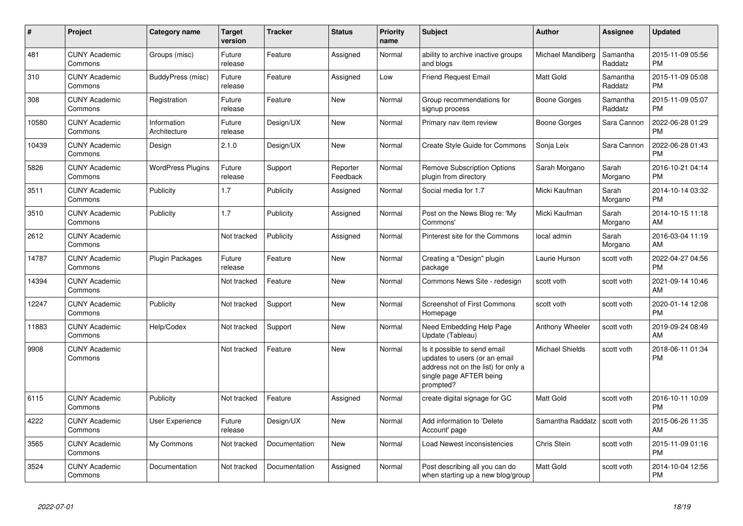| #     | <b>Project</b>                  | Category name               | Target<br>version | <b>Tracker</b> | <b>Status</b>        | <b>Priority</b><br>name | <b>Subject</b>                                                                                                                               | <b>Author</b>          | Assignee            | <b>Updated</b>                |
|-------|---------------------------------|-----------------------------|-------------------|----------------|----------------------|-------------------------|----------------------------------------------------------------------------------------------------------------------------------------------|------------------------|---------------------|-------------------------------|
| 481   | <b>CUNY Academic</b><br>Commons | Groups (misc)               | Future<br>release | Feature        | Assigned             | Normal                  | ability to archive inactive groups<br>and blogs                                                                                              | Michael Mandiberg      | Samantha<br>Raddatz | 2015-11-09 05:56<br><b>PM</b> |
| 310   | <b>CUNY Academic</b><br>Commons | BuddyPress (misc)           | Future<br>release | Feature        | Assigned             | Low                     | <b>Friend Request Email</b>                                                                                                                  | <b>Matt Gold</b>       | Samantha<br>Raddatz | 2015-11-09 05:08<br><b>PM</b> |
| 308   | <b>CUNY Academic</b><br>Commons | Registration                | Future<br>release | Feature        | <b>New</b>           | Normal                  | Group recommendations for<br>signup process                                                                                                  | Boone Gorges           | Samantha<br>Raddatz | 2015-11-09 05:07<br><b>PM</b> |
| 10580 | <b>CUNY Academic</b><br>Commons | Information<br>Architecture | Future<br>release | Design/UX      | <b>New</b>           | Normal                  | Primary nav item review                                                                                                                      | Boone Gorges           | Sara Cannon         | 2022-06-28 01:29<br><b>PM</b> |
| 10439 | <b>CUNY Academic</b><br>Commons | Design                      | 2.1.0             | Design/UX      | New                  | Normal                  | Create Style Guide for Commons                                                                                                               | Sonja Leix             | Sara Cannon         | 2022-06-28 01:43<br><b>PM</b> |
| 5826  | <b>CUNY Academic</b><br>Commons | <b>WordPress Plugins</b>    | Future<br>release | Support        | Reporter<br>Feedback | Normal                  | <b>Remove Subscription Options</b><br>plugin from directory                                                                                  | Sarah Morgano          | Sarah<br>Morgano    | 2016-10-21 04:14<br>PM.       |
| 3511  | <b>CUNY Academic</b><br>Commons | Publicity                   | 1.7               | Publicity      | Assigned             | Normal                  | Social media for 1.7                                                                                                                         | Micki Kaufman          | Sarah<br>Morgano    | 2014-10-14 03:32<br><b>PM</b> |
| 3510  | <b>CUNY Academic</b><br>Commons | Publicity                   | 1.7               | Publicity      | Assigned             | Normal                  | Post on the News Blog re: 'My<br>Commons'                                                                                                    | Micki Kaufman          | Sarah<br>Morgano    | 2014-10-15 11:18<br>AM        |
| 2612  | <b>CUNY Academic</b><br>Commons |                             | Not tracked       | Publicity      | Assigned             | Normal                  | Pinterest site for the Commons                                                                                                               | local admin            | Sarah<br>Morgano    | 2016-03-04 11:19<br>AM.       |
| 14787 | <b>CUNY Academic</b><br>Commons | Plugin Packages             | Future<br>release | Feature        | <b>New</b>           | Normal                  | Creating a "Design" plugin<br>package                                                                                                        | Laurie Hurson          | scott voth          | 2022-04-27 04:56<br><b>PM</b> |
| 14394 | <b>CUNY Academic</b><br>Commons |                             | Not tracked       | Feature        | New                  | Normal                  | Commons News Site - redesign                                                                                                                 | scott voth             | scott voth          | 2021-09-14 10:46<br>AM        |
| 12247 | <b>CUNY Academic</b><br>Commons | Publicity                   | Not tracked       | Support        | New                  | Normal                  | Screenshot of First Commons<br>Homepage                                                                                                      | scott voth             | scott voth          | 2020-01-14 12:08<br><b>PM</b> |
| 11883 | <b>CUNY Academic</b><br>Commons | Help/Codex                  | Not tracked       | Support        | New                  | Normal                  | Need Embedding Help Page<br>Update (Tableau)                                                                                                 | Anthony Wheeler        | scott voth          | 2019-09-24 08:49<br>AM.       |
| 9908  | <b>CUNY Academic</b><br>Commons |                             | Not tracked       | Feature        | <b>New</b>           | Normal                  | Is it possible to send email<br>updates to users (or an email<br>address not on the list) for only a<br>single page AFTER being<br>prompted? | <b>Michael Shields</b> | scott voth          | 2018-06-11 01:34<br><b>PM</b> |
| 6115  | <b>CUNY Academic</b><br>Commons | Publicity                   | Not tracked       | Feature        | Assigned             | Normal                  | create digital signage for GC                                                                                                                | Matt Gold              | scott voth          | 2016-10-11 10:09<br><b>PM</b> |
| 4222  | <b>CUNY Academic</b><br>Commons | User Experience             | Future<br>release | Design/UX      | New                  | Normal                  | Add information to 'Delete<br>Account' page                                                                                                  | Samantha Raddatz       | scott voth          | 2015-06-26 11:35<br>AM        |
| 3565  | <b>CUNY Academic</b><br>Commons | My Commons                  | Not tracked       | Documentation  | <b>New</b>           | Normal                  | Load Newest inconsistencies                                                                                                                  | Chris Stein            | scott voth          | 2015-11-09 01:16<br><b>PM</b> |
| 3524  | <b>CUNY Academic</b><br>Commons | Documentation               | Not tracked       | Documentation  | Assigned             | Normal                  | Post describing all you can do<br>when starting up a new blog/group                                                                          | Matt Gold              | scott voth          | 2014-10-04 12:56<br><b>PM</b> |